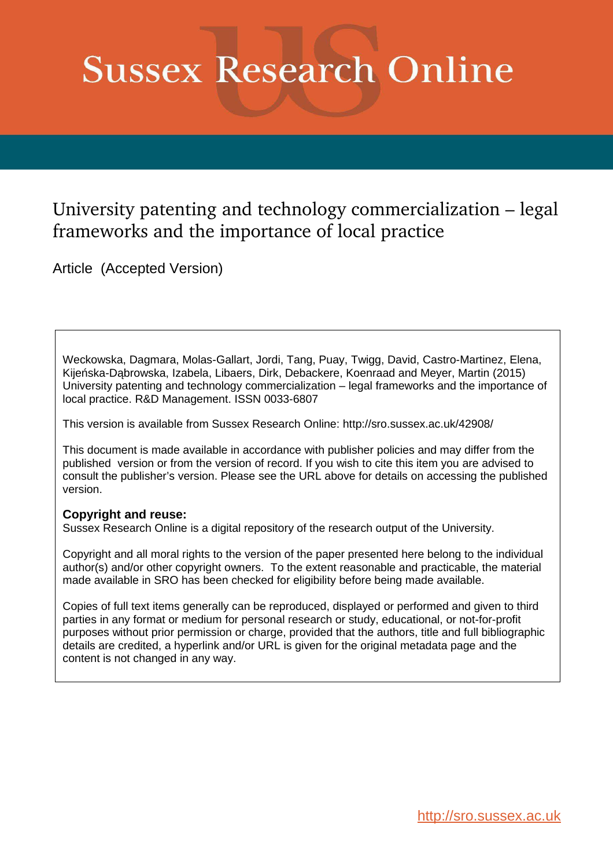# **Sussex Research Online**

# University patenting and technology commercialization – legal frameworks and the importance of local practice

Article (Accepted Version)

Weckowska, Dagmara, Molas-Gallart, Jordi, Tang, Puay, Twigg, David, Castro-Martinez, Elena, Kijeńska-Dąbrowska, Izabela, Libaers, Dirk, Debackere, Koenraad and Meyer, Martin (2015) University patenting and technology commercialization – legal frameworks and the importance of local practice. R&D Management. ISSN 0033-6807

This version is available from Sussex Research Online: http://sro.sussex.ac.uk/42908/

This document is made available in accordance with publisher policies and may differ from the published version or from the version of record. If you wish to cite this item you are advised to consult the publisher's version. Please see the URL above for details on accessing the published version.

## **Copyright and reuse:**

Sussex Research Online is a digital repository of the research output of the University.

Copyright and all moral rights to the version of the paper presented here belong to the individual author(s) and/or other copyright owners. To the extent reasonable and practicable, the material made available in SRO has been checked for eligibility before being made available.

Copies of full text items generally can be reproduced, displayed or performed and given to third parties in any format or medium for personal research or study, educational, or not-for-profit purposes without prior permission or charge, provided that the authors, title and full bibliographic details are credited, a hyperlink and/or URL is given for the original metadata page and the content is not changed in any way.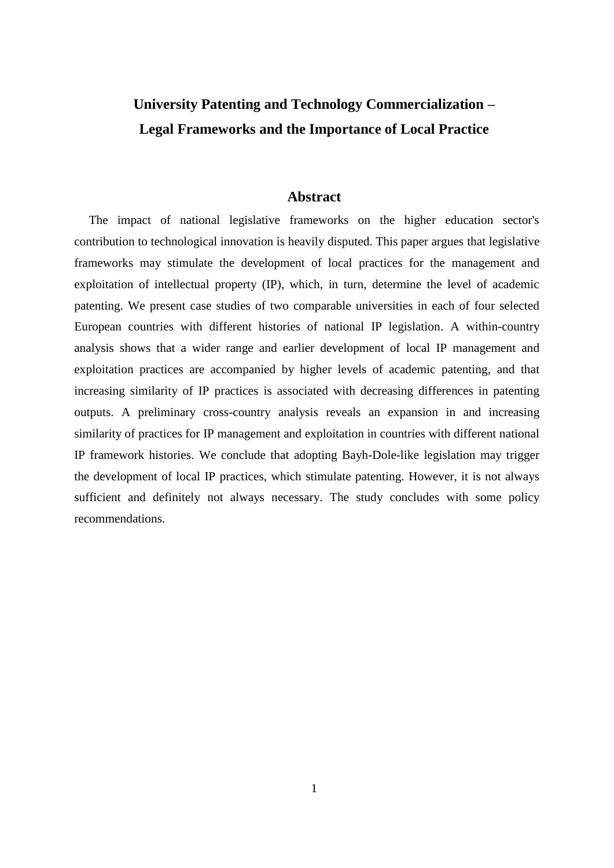# **University Patenting and Technology Commercialization – Legal Frameworks and the Importance of Local Practice**

#### **Abstract**

The impact of national legislative frameworks on the higher education sector's contribution to technological innovation is heavily disputed. This paper argues that legislative frameworks may stimulate the development of local practices for the management and exploitation of intellectual property (IP), which, in turn, determine the level of academic patenting. We present case studies of two comparable universities in each of four selected European countries with different histories of national IP legislation. A within-country analysis shows that a wider range and earlier development of local IP management and exploitation practices are accompanied by higher levels of academic patenting, and that increasing similarity of IP practices is associated with decreasing differences in patenting outputs. A preliminary cross-country analysis reveals an expansion in and increasing similarity of practices for IP management and exploitation in countries with different national IP framework histories. We conclude that adopting Bayh-Dole-like legislation may trigger the development of local IP practices, which stimulate patenting. However, it is not always sufficient and definitely not always necessary. The study concludes with some policy recommendations.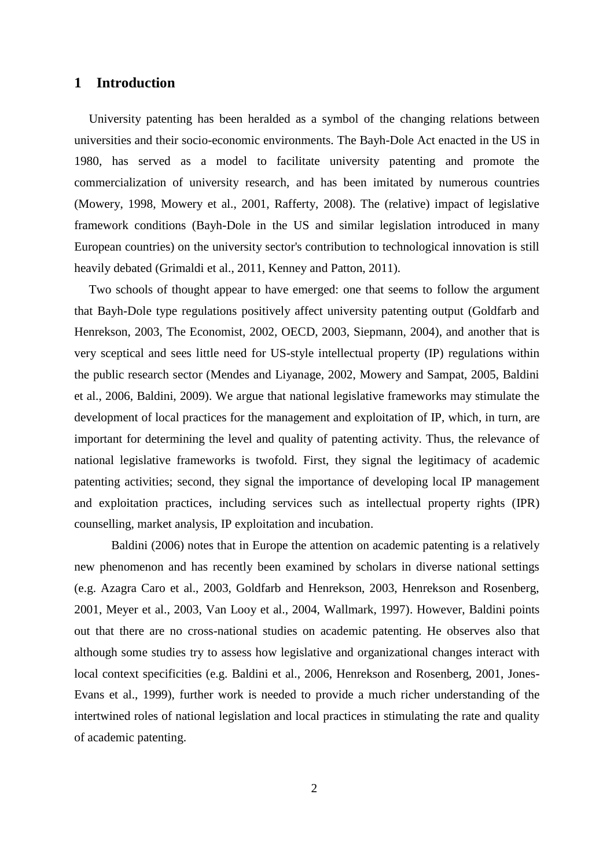#### **1 Introduction**

University patenting has been heralded as a symbol of the changing relations between universities and their socio-economic environments. The Bayh-Dole Act enacted in the US in 1980, has served as a model to facilitate university patenting and promote the commercialization of university research, and has been imitated by numerous countries (Mowery, 1998, Mowery et al., 2001, Rafferty, 2008). The (relative) impact of legislative framework conditions (Bayh-Dole in the US and similar legislation introduced in many European countries) on the university sector's contribution to technological innovation is still heavily debated (Grimaldi et al., 2011, Kenney and Patton, 2011).

Two schools of thought appear to have emerged: one that seems to follow the argument that Bayh-Dole type regulations positively affect university patenting output (Goldfarb and Henrekson, 2003, The Economist, 2002, OECD, 2003, Siepmann, 2004), and another that is very sceptical and sees little need for US-style intellectual property (IP) regulations within the public research sector (Mendes and Liyanage, 2002, Mowery and Sampat, 2005, Baldini et al., 2006, Baldini, 2009). We argue that national legislative frameworks may stimulate the development of local practices for the management and exploitation of IP, which, in turn, are important for determining the level and quality of patenting activity. Thus, the relevance of national legislative frameworks is twofold. First, they signal the legitimacy of academic patenting activities; second, they signal the importance of developing local IP management and exploitation practices, including services such as intellectual property rights (IPR) counselling, market analysis, IP exploitation and incubation.

 Baldini (2006) notes that in Europe the attention on academic patenting is a relatively new phenomenon and has recently been examined by scholars in diverse national settings (e.g. Azagra Caro et al., 2003, Goldfarb and Henrekson, 2003, Henrekson and Rosenberg, 2001, Meyer et al., 2003, Van Looy et al., 2004, Wallmark, 1997). However, Baldini points out that there are no cross-national studies on academic patenting. He observes also that although some studies try to assess how legislative and organizational changes interact with local context specificities (e.g. Baldini et al., 2006, Henrekson and Rosenberg, 2001, Jones-Evans et al., 1999), further work is needed to provide a much richer understanding of the intertwined roles of national legislation and local practices in stimulating the rate and quality of academic patenting.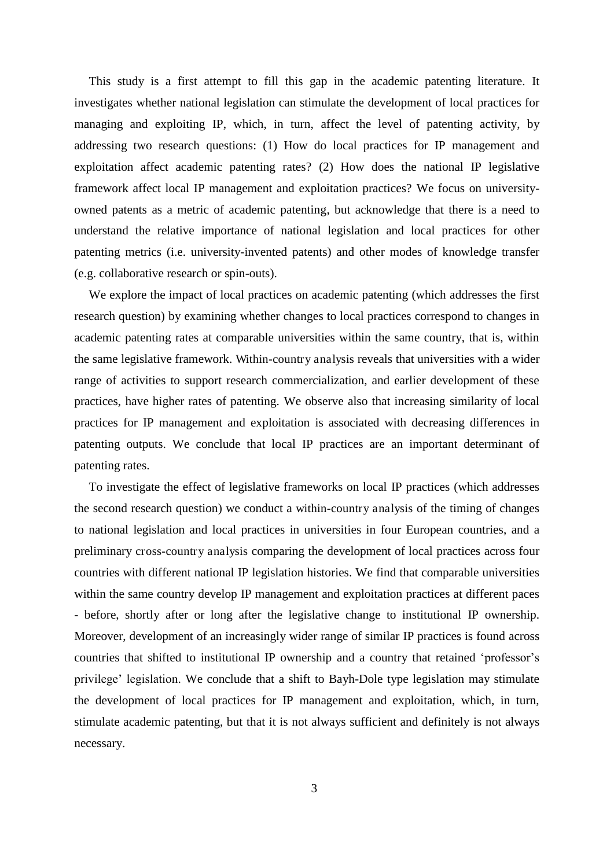This study is a first attempt to fill this gap in the academic patenting literature. It investigates whether national legislation can stimulate the development of local practices for managing and exploiting IP, which, in turn, affect the level of patenting activity, by addressing two research questions: (1) How do local practices for IP management and exploitation affect academic patenting rates? (2) How does the national IP legislative framework affect local IP management and exploitation practices? We focus on universityowned patents as a metric of academic patenting, but acknowledge that there is a need to understand the relative importance of national legislation and local practices for other patenting metrics (i.e. university-invented patents) and other modes of knowledge transfer (e.g. collaborative research or spin-outs).

We explore the impact of local practices on academic patenting (which addresses the first research question) by examining whether changes to local practices correspond to changes in academic patenting rates at comparable universities within the same country, that is, within the same legislative framework. Within-country analysis reveals that universities with a wider range of activities to support research commercialization, and earlier development of these practices, have higher rates of patenting. We observe also that increasing similarity of local practices for IP management and exploitation is associated with decreasing differences in patenting outputs. We conclude that local IP practices are an important determinant of patenting rates.

To investigate the effect of legislative frameworks on local IP practices (which addresses the second research question) we conduct a within-country analysis of the timing of changes to national legislation and local practices in universities in four European countries, and a preliminary cross-country analysis comparing the development of local practices across four countries with different national IP legislation histories. We find that comparable universities within the same country develop IP management and exploitation practices at different paces - before, shortly after or long after the legislative change to institutional IP ownership. Moreover, development of an increasingly wider range of similar IP practices is found across countries that shifted to institutional IP ownership and a country that retained 'professor's privilege' legislation. We conclude that a shift to Bayh-Dole type legislation may stimulate the development of local practices for IP management and exploitation, which, in turn, stimulate academic patenting, but that it is not always sufficient and definitely is not always necessary.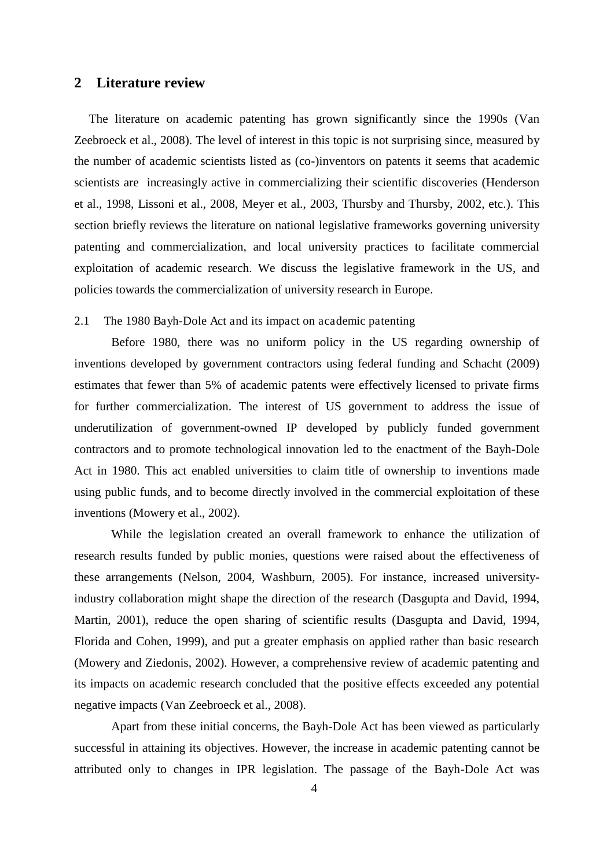## **2 Literature review**

The literature on academic patenting has grown significantly since the 1990s (Van Zeebroeck et al., 2008). The level of interest in this topic is not surprising since, measured by the number of academic scientists listed as (co-)inventors on patents it seems that academic scientists are increasingly active in commercializing their scientific discoveries (Henderson et al., 1998, [Lissoni et al., 2008,](#page-23-0) [Meyer et al., 2003,](#page-23-1) Thursby and Thursby, 2002, etc.). This section briefly reviews the literature on national legislative frameworks governing university patenting and commercialization, and local university practices to facilitate commercial exploitation of academic research. We discuss the legislative framework in the US, and policies towards the commercialization of university research in Europe.

## 2.1 The 1980 Bayh-Dole Act and its impact on academic patenting

 Before 1980, there was no uniform policy in the US regarding ownership of inventions developed by government contractors using federal funding and Schacht (2009) estimates that fewer than 5% of academic patents were effectively licensed to private firms for further commercialization. The interest of US government to address the issue of underutilization of government-owned IP developed by publicly funded government contractors and to promote technological innovation led to the enactment of the Bayh-Dole Act in 1980. This act enabled universities to claim title of ownership to inventions made using public funds, and to become directly involved in the commercial exploitation of these inventions (Mowery et al., 2002).

 While the legislation created an overall framework to enhance the utilization of research results funded by public monies, questions were raised about the effectiveness of these arrangements (Nelson, 2004, Washburn, 2005). For instance, increased universityindustry collaboration might shape the direction of the research (Dasgupta and David, 1994, Martin, 2001), reduce the open sharing of scientific results (Dasgupta and David, 1994, Florida and Cohen, 1999), and put a greater emphasis on applied rather than basic research (Mowery and Ziedonis, 2002). However, a comprehensive review of academic patenting and its impacts on academic research concluded that the positive effects exceeded any potential negative impacts (Van Zeebroeck et al., 2008).

 Apart from these initial concerns, the Bayh-Dole Act has been viewed as particularly successful in attaining its objectives. However, the increase in academic patenting cannot be attributed only to changes in IPR legislation. The passage of the Bayh-Dole Act was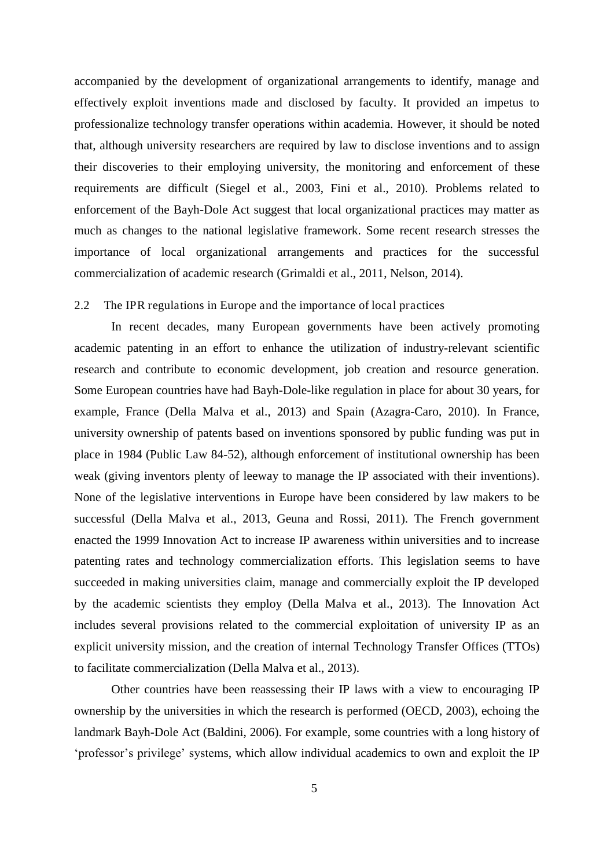accompanied by the development of organizational arrangements to identify, manage and effectively exploit inventions made and disclosed by faculty. It provided an impetus to professionalize technology transfer operations within academia. However, it should be noted that, although university researchers are required by law to disclose inventions and to assign their discoveries to their employing university, the monitoring and enforcement of these requirements are difficult (Siegel et al., 2003, Fini et al., 2010). Problems related to enforcement of the Bayh-Dole Act suggest that local organizational practices may matter as much as changes to the national legislative framework. Some recent research stresses the importance of local organizational arrangements and practices for the successful commercialization of academic research (Grimaldi et al., 2011, Nelson, 2014).

#### 2.2 The IPR regulations in Europe and the importance of local practices

 In recent decades, many European governments have been actively promoting academic patenting in an effort to enhance the utilization of industry-relevant scientific research and contribute to economic development, job creation and resource generation. Some European countries have had Bayh-Dole-like regulation in place for about 30 years, for example, France (Della Malva et al., 2013) and Spain (Azagra-Caro, 2010). In France, university ownership of patents based on inventions sponsored by public funding was put in place in 1984 (Public Law 84-52), although enforcement of institutional ownership has been weak (giving inventors plenty of leeway to manage the IP associated with their inventions). None of the legislative interventions in Europe have been considered by law makers to be successful (Della Malva et al., 2013, Geuna and Rossi, 2011). The French government enacted the 1999 Innovation Act to increase IP awareness within universities and to increase patenting rates and technology commercialization efforts. This legislation seems to have succeeded in making universities claim, manage and commercially exploit the IP developed by the academic scientists they employ (Della Malva et al., 2013). The Innovation Act includes several provisions related to the commercial exploitation of university IP as an explicit university mission, and the creation of internal Technology Transfer Offices (TTOs) to facilitate commercialization (Della Malva et al., 2013).

 Other countries have been reassessing their IP laws with a view to encouraging IP ownership by the universities in which the research is performed (OECD, 2003), echoing the landmark Bayh-Dole Act (Baldini, 2006). For example, some countries with a long history of 'professor's privilege' systems, which allow individual academics to own and exploit the IP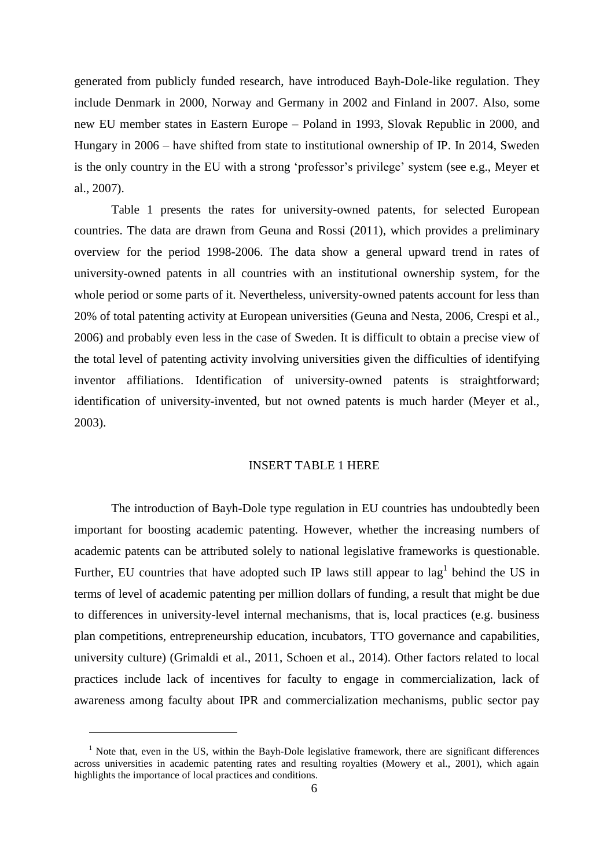generated from publicly funded research, have introduced Bayh-Dole-like regulation. They include Denmark in 2000, Norway and Germany in 2002 and Finland in 2007. Also, some new EU member states in Eastern Europe – Poland in 1993, Slovak Republic in 2000, and Hungary in 2006 – have shifted from state to institutional ownership of IP. In 2014, Sweden is the only country in the EU with a strong 'professor's privilege' system (see e.g., Meyer et al., 2007).

 Table 1 presents the rates for university-owned patents, for selected European countries. The data are drawn from Geuna and Rossi (2011), which provides a preliminary overview for the period 1998-2006. The data show a general upward trend in rates of university-owned patents in all countries with an institutional ownership system, for the whole period or some parts of it. Nevertheless, university-owned patents account for less than 20% of total patenting activity at European universities (Geuna and Nesta, 2006, Crespi et al., 2006) and probably even less in the case of Sweden. It is difficult to obtain a precise view of the total level of patenting activity involving universities given the difficulties of identifying inventor affiliations. Identification of university-owned patents is straightforward; identification of university-invented, but not owned patents is much harder (Meyer et al., 2003).

#### INSERT TABLE 1 HERE

 The introduction of Bayh-Dole type regulation in EU countries has undoubtedly been important for boosting academic patenting. However, whether the increasing numbers of academic patents can be attributed solely to national legislative frameworks is questionable. Further, EU countries that have adopted such IP laws still appear to  $\log^1$  behind the US in terms of level of academic patenting per million dollars of funding, a result that might be due to differences in university-level internal mechanisms, that is, local practices (e.g. business plan competitions, entrepreneurship education, incubators, TTO governance and capabilities, university culture) (Grimaldi et al., 2011, Schoen et al., 2014). Other factors related to local practices include lack of incentives for faculty to engage in commercialization, lack of awareness among faculty about IPR and commercialization mechanisms, public sector pay

 $\overline{a}$ 

<sup>&</sup>lt;sup>1</sup> Note that, even in the US, within the Bayh-Dole legislative framework, there are significant differences across universities in academic patenting rates and resulting royalties (Mowery et al., 2001), which again highlights the importance of local practices and conditions.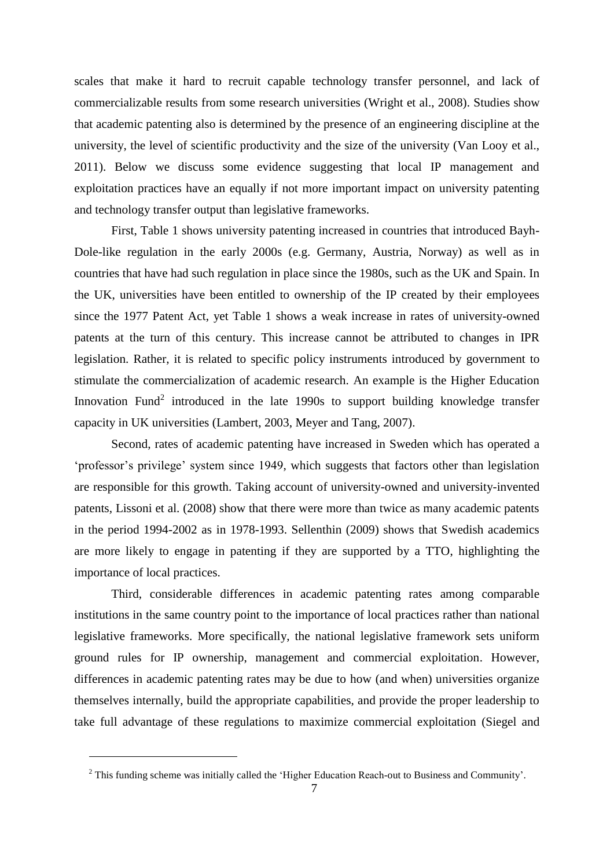scales that make it hard to recruit capable technology transfer personnel, and lack of commercializable results from some research universities (Wright et al., 2008). Studies show that academic patenting also is determined by the presence of an engineering discipline at the university, the level of scientific productivity and the size of the university (Van Looy et al., 2011). Below we discuss some evidence suggesting that local IP management and exploitation practices have an equally if not more important impact on university patenting and technology transfer output than legislative frameworks.

 First, Table 1 shows university patenting increased in countries that introduced Bayh-Dole-like regulation in the early 2000s (e.g. Germany, Austria, Norway) as well as in countries that have had such regulation in place since the 1980s, such as the UK and Spain. In the UK, universities have been entitled to ownership of the IP created by their employees since the 1977 Patent Act, yet Table 1 shows a weak increase in rates of university-owned patents at the turn of this century. This increase cannot be attributed to changes in IPR legislation. Rather, it is related to specific policy instruments introduced by government to stimulate the commercialization of academic research. An example is the Higher Education Innovation Fund<sup>2</sup> introduced in the late 1990s to support building knowledge transfer capacity in UK universities (Lambert, 2003, Meyer and Tang, 2007).

 Second, rates of academic patenting have increased in Sweden which has operated a 'professor's privilege' system since 1949, which suggests that factors other than legislation are responsible for this growth. Taking account of university-owned and university-invented patents, Lissoni et al. (2008) show that there were more than twice as many academic patents in the period 1994-2002 as in 1978-1993. Sellenthin (2009) shows that Swedish academics are more likely to engage in patenting if they are supported by a TTO, highlighting the importance of local practices.

 Third, considerable differences in academic patenting rates among comparable institutions in the same country point to the importance of local practices rather than national legislative frameworks. More specifically, the national legislative framework sets uniform ground rules for IP ownership, management and commercial exploitation. However, differences in academic patenting rates may be due to how (and when) universities organize themselves internally, build the appropriate capabilities, and provide the proper leadership to take full advantage of these regulations to maximize commercial exploitation (Siegel and

 $\overline{a}$ 

 $2$  This funding scheme was initially called the 'Higher Education Reach-out to Business and Community'.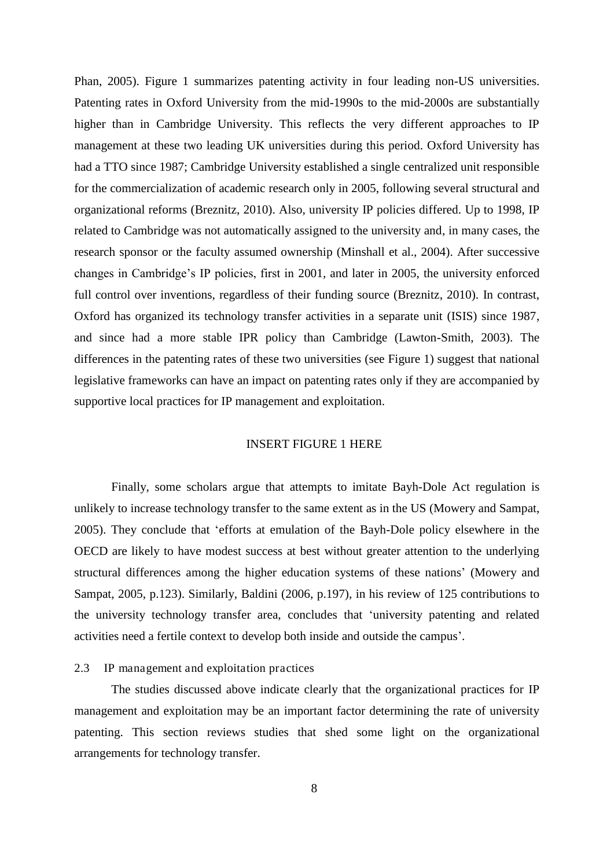Phan, 2005). Figure 1 summarizes patenting activity in four leading non-US universities. Patenting rates in Oxford University from the mid-1990s to the mid-2000s are substantially higher than in Cambridge University. This reflects the very different approaches to IP management at these two leading UK universities during this period. Oxford University has had a TTO since 1987; Cambridge University established a single centralized unit responsible for the commercialization of academic research only in 2005, following several structural and organizational reforms (Breznitz, 2010). Also, university IP policies differed. Up to 1998, IP related to Cambridge was not automatically assigned to the university and, in many cases, the research sponsor or the faculty assumed ownership (Minshall et al., 2004). After successive changes in Cambridge's IP policies, first in 2001, and later in 2005, the university enforced full control over inventions, regardless of their funding source (Breznitz, 2010). In contrast, Oxford has organized its technology transfer activities in a separate unit (ISIS) since 1987, and since had a more stable IPR policy than Cambridge (Lawton-Smith, 2003). The differences in the patenting rates of these two universities (see Figure 1) suggest that national legislative frameworks can have an impact on patenting rates only if they are accompanied by supportive local practices for IP management and exploitation.

#### INSERT FIGURE 1 HERE

 Finally, some scholars argue that attempts to imitate Bayh-Dole Act regulation is unlikely to increase technology transfer to the same extent as in the US (Mowery and Sampat, 2005). They conclude that 'efforts at emulation of the Bayh-Dole policy elsewhere in the OECD are likely to have modest success at best without greater attention to the underlying structural differences among the higher education systems of these nations' (Mowery and Sampat, 2005, p.123). Similarly, Baldini (2006, p.197), in his review of 125 contributions to the university technology transfer area, concludes that 'university patenting and related activities need a fertile context to develop both inside and outside the campus'.

#### 2.3 IP management and exploitation practices

 The studies discussed above indicate clearly that the organizational practices for IP management and exploitation may be an important factor determining the rate of university patenting. This section reviews studies that shed some light on the organizational arrangements for technology transfer.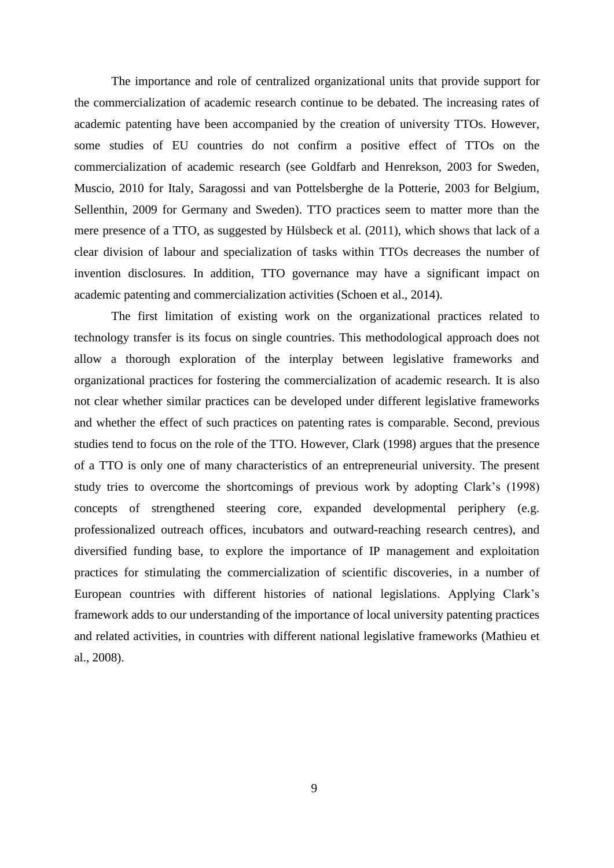The importance and role of centralized organizational units that provide support for the commercialization of academic research continue to be debated. The increasing rates of academic patenting have been accompanied by the creation of university TTOs. However, some studies of EU countries do not confirm a positive effect of TTOs on the commercialization of academic research (see Goldfarb and Henrekson, 2003 for Sweden, Muscio, 2010 for Italy, Saragossi and van Pottelsberghe de la Potterie, 2003 for Belgium, Sellenthin, 2009 for Germany and Sweden). TTO practices seem to matter more than the mere presence of a TTO, as suggested by Hülsbeck et al. (2011), which shows that lack of a clear division of labour and specialization of tasks within TTOs decreases the number of invention disclosures. In addition, TTO governance may have a significant impact on academic patenting and commercialization activities (Schoen et al., 2014).

 The first limitation of existing work on the organizational practices related to technology transfer is its focus on single countries. This methodological approach does not allow a thorough exploration of the interplay between legislative frameworks and organizational practices for fostering the commercialization of academic research. It is also not clear whether similar practices can be developed under different legislative frameworks and whether the effect of such practices on patenting rates is comparable. Second, previous studies tend to focus on the role of the TTO. However, Clark (1998) argues that the presence of a TTO is only one of many characteristics of an entrepreneurial university. The present study tries to overcome the shortcomings of previous work by adopting Clark's (1998) concepts of strengthened steering core, expanded developmental periphery (e.g. professionalized outreach offices, incubators and outward-reaching research centres), and diversified funding base, to explore the importance of IP management and exploitation practices for stimulating the commercialization of scientific discoveries, in a number of European countries with different histories of national legislations. Applying Clark's framework adds to our understanding of the importance of local university patenting practices and related activities, in countries with different national legislative frameworks (Mathieu et al., 2008).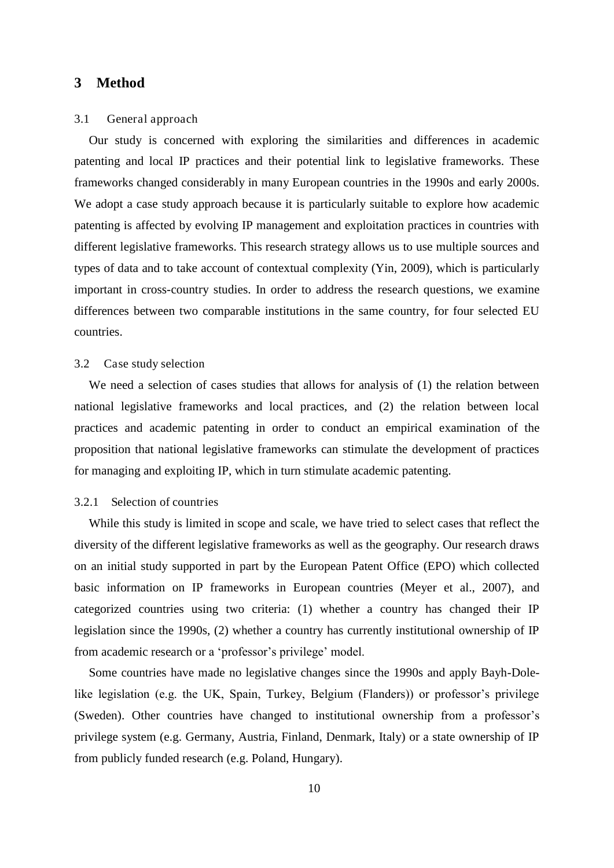## **3 Method**

#### 3.1 General approach

Our study is concerned with exploring the similarities and differences in academic patenting and local IP practices and their potential link to legislative frameworks. These frameworks changed considerably in many European countries in the 1990s and early 2000s. We adopt a case study approach because it is particularly suitable to explore how academic patenting is affected by evolving IP management and exploitation practices in countries with different legislative frameworks. This research strategy allows us to use multiple sources and types of data and to take account of contextual complexity (Yin, 2009), which is particularly important in cross-country studies. In order to address the research questions, we examine differences between two comparable institutions in the same country, for four selected EU countries.

#### 3.2 Case study selection

We need a selection of cases studies that allows for analysis of  $(1)$  the relation between national legislative frameworks and local practices, and (2) the relation between local practices and academic patenting in order to conduct an empirical examination of the proposition that national legislative frameworks can stimulate the development of practices for managing and exploiting IP, which in turn stimulate academic patenting.

#### 3.2.1 Selection of countries

While this study is limited in scope and scale, we have tried to select cases that reflect the diversity of the different legislative frameworks as well as the geography. Our research draws on an initial study supported in part by the European Patent Office (EPO) which collected basic information on IP frameworks in European countries (Meyer et al., 2007), and categorized countries using two criteria: (1) whether a country has changed their IP legislation since the 1990s, (2) whether a country has currently institutional ownership of IP from academic research or a 'professor's privilege' model.

Some countries have made no legislative changes since the 1990s and apply Bayh-Dolelike legislation (e.g. the UK, Spain, Turkey, Belgium (Flanders)) or professor's privilege (Sweden). Other countries have changed to institutional ownership from a professor's privilege system (e.g. Germany, Austria, Finland, Denmark, Italy) or a state ownership of IP from publicly funded research (e.g. Poland, Hungary).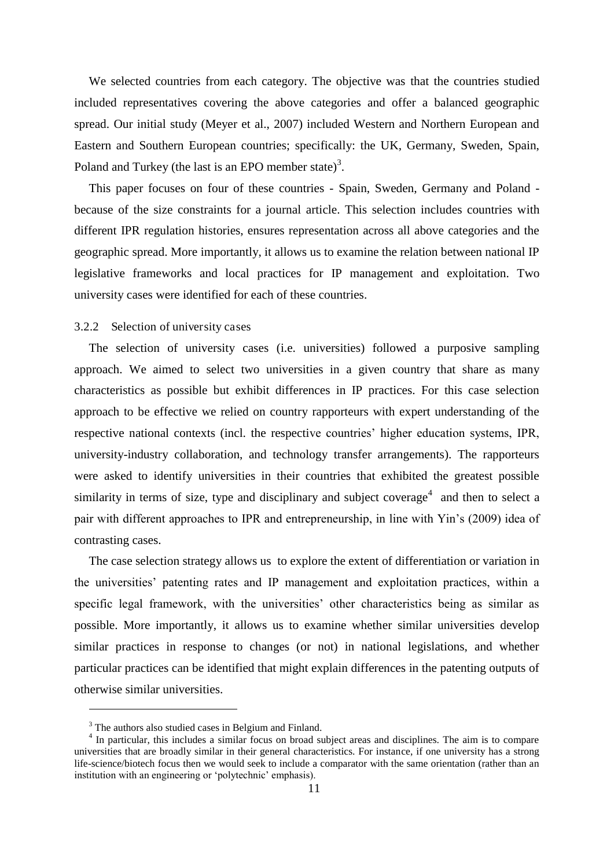We selected countries from each category. The objective was that the countries studied included representatives covering the above categories and offer a balanced geographic spread. Our initial study (Meyer et al., 2007) included Western and Northern European and Eastern and Southern European countries; specifically: the UK, Germany, Sweden, Spain, Poland and Turkey (the last is an EPO member state)<sup>3</sup>.

This paper focuses on four of these countries - Spain, Sweden, Germany and Poland because of the size constraints for a journal article. This selection includes countries with different IPR regulation histories, ensures representation across all above categories and the geographic spread. More importantly, it allows us to examine the relation between national IP legislative frameworks and local practices for IP management and exploitation. Two university cases were identified for each of these countries.

#### 3.2.2 Selection of university cases

The selection of university cases (i.e. universities) followed a purposive sampling approach. We aimed to select two universities in a given country that share as many characteristics as possible but exhibit differences in IP practices. For this case selection approach to be effective we relied on country rapporteurs with expert understanding of the respective national contexts (incl. the respective countries' higher education systems, IPR, university-industry collaboration, and technology transfer arrangements). The rapporteurs were asked to identify universities in their countries that exhibited the greatest possible similarity in terms of size, type and disciplinary and subject coverage<sup>4</sup> and then to select a pair with different approaches to IPR and entrepreneurship, in line with Yin's (2009) idea of contrasting cases.

The case selection strategy allows us to explore the extent of differentiation or variation in the universities' patenting rates and IP management and exploitation practices, within a specific legal framework, with the universities' other characteristics being as similar as possible. More importantly, it allows us to examine whether similar universities develop similar practices in response to changes (or not) in national legislations, and whether particular practices can be identified that might explain differences in the patenting outputs of otherwise similar universities.

 $\overline{a}$ 

<sup>&</sup>lt;sup>3</sup> The authors also studied cases in Belgium and Finland.

<sup>&</sup>lt;sup>4</sup> In particular, this includes a similar focus on broad subject areas and disciplines. The aim is to compare universities that are broadly similar in their general characteristics. For instance, if one university has a strong life-science/biotech focus then we would seek to include a comparator with the same orientation (rather than an institution with an engineering or 'polytechnic' emphasis).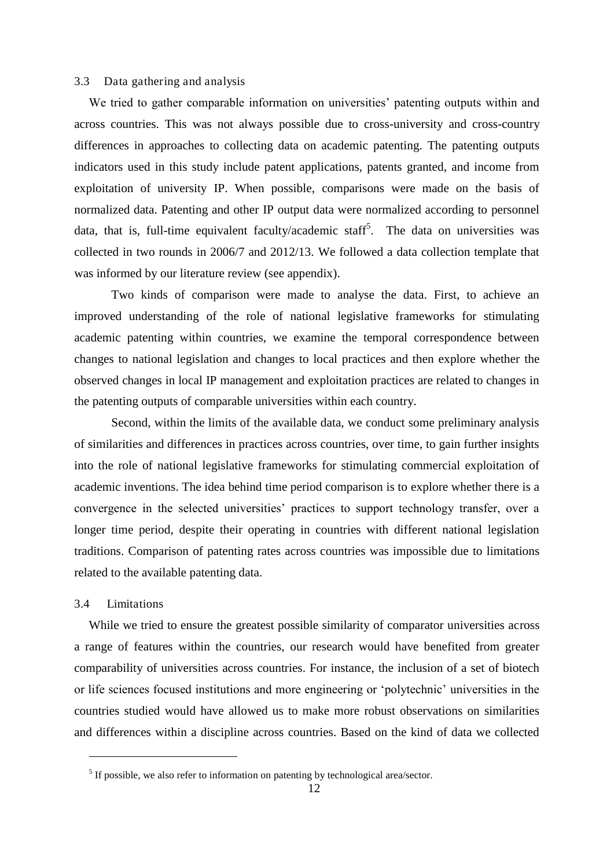#### 3.3 Data gathering and analysis

We tried to gather comparable information on universities' patenting outputs within and across countries. This was not always possible due to cross-university and cross-country differences in approaches to collecting data on academic patenting. The patenting outputs indicators used in this study include patent applications, patents granted, and income from exploitation of university IP. When possible, comparisons were made on the basis of normalized data. Patenting and other IP output data were normalized according to personnel data, that is, full-time equivalent faculty/academic staff<sup>5</sup>. The data on universities was collected in two rounds in 2006/7 and 2012/13. We followed a data collection template that was informed by our literature review (see appendix).

 Two kinds of comparison were made to analyse the data. First, to achieve an improved understanding of the role of national legislative frameworks for stimulating academic patenting within countries, we examine the temporal correspondence between changes to national legislation and changes to local practices and then explore whether the observed changes in local IP management and exploitation practices are related to changes in the patenting outputs of comparable universities within each country.

 Second, within the limits of the available data, we conduct some preliminary analysis of similarities and differences in practices across countries, over time, to gain further insights into the role of national legislative frameworks for stimulating commercial exploitation of academic inventions. The idea behind time period comparison is to explore whether there is a convergence in the selected universities' practices to support technology transfer, over a longer time period, despite their operating in countries with different national legislation traditions. Comparison of patenting rates across countries was impossible due to limitations related to the available patenting data.

#### 3.4 Limitations

 $\overline{a}$ 

While we tried to ensure the greatest possible similarity of comparator universities across a range of features within the countries, our research would have benefited from greater comparability of universities across countries. For instance, the inclusion of a set of biotech or life sciences focused institutions and more engineering or 'polytechnic' universities in the countries studied would have allowed us to make more robust observations on similarities and differences within a discipline across countries. Based on the kind of data we collected

 $<sup>5</sup>$  If possible, we also refer to information on patenting by technological area/sector.</sup>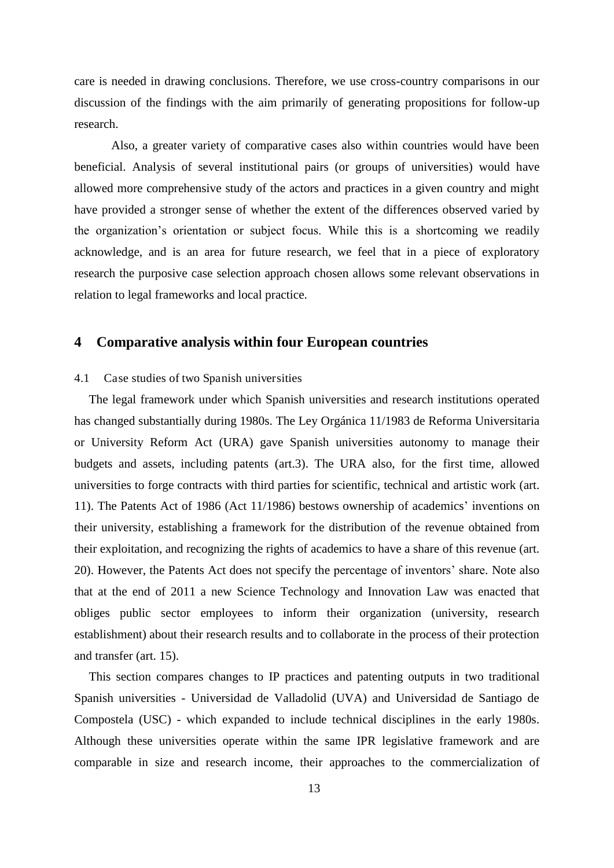care is needed in drawing conclusions. Therefore, we use cross-country comparisons in our discussion of the findings with the aim primarily of generating propositions for follow-up research.

 Also, a greater variety of comparative cases also within countries would have been beneficial. Analysis of several institutional pairs (or groups of universities) would have allowed more comprehensive study of the actors and practices in a given country and might have provided a stronger sense of whether the extent of the differences observed varied by the organization's orientation or subject focus. While this is a shortcoming we readily acknowledge, and is an area for future research, we feel that in a piece of exploratory research the purposive case selection approach chosen allows some relevant observations in relation to legal frameworks and local practice.

#### **4 Comparative analysis within four European countries**

#### 4.1 Case studies of two Spanish universities

The legal framework under which Spanish universities and research institutions operated has changed substantially during 1980s. The Ley Orgánica 11/1983 de Reforma Universitaria or University Reform Act (URA) gave Spanish universities autonomy to manage their budgets and assets, including patents (art.3). The URA also, for the first time, allowed universities to forge contracts with third parties for scientific, technical and artistic work (art. 11). The Patents Act of 1986 (Act 11/1986) bestows ownership of academics' inventions on their university, establishing a framework for the distribution of the revenue obtained from their exploitation, and recognizing the rights of academics to have a share of this revenue (art. 20). However, the Patents Act does not specify the percentage of inventors' share. Note also that at the end of 2011 a new Science Technology and Innovation Law was enacted that obliges public sector employees to inform their organization (university, research establishment) about their research results and to collaborate in the process of their protection and transfer (art. 15).

This section compares changes to IP practices and patenting outputs in two traditional Spanish universities - Universidad de Valladolid (UVA) and Universidad de Santiago de Compostela (USC) - which expanded to include technical disciplines in the early 1980s. Although these universities operate within the same IPR legislative framework and are comparable in size and research income, their approaches to the commercialization of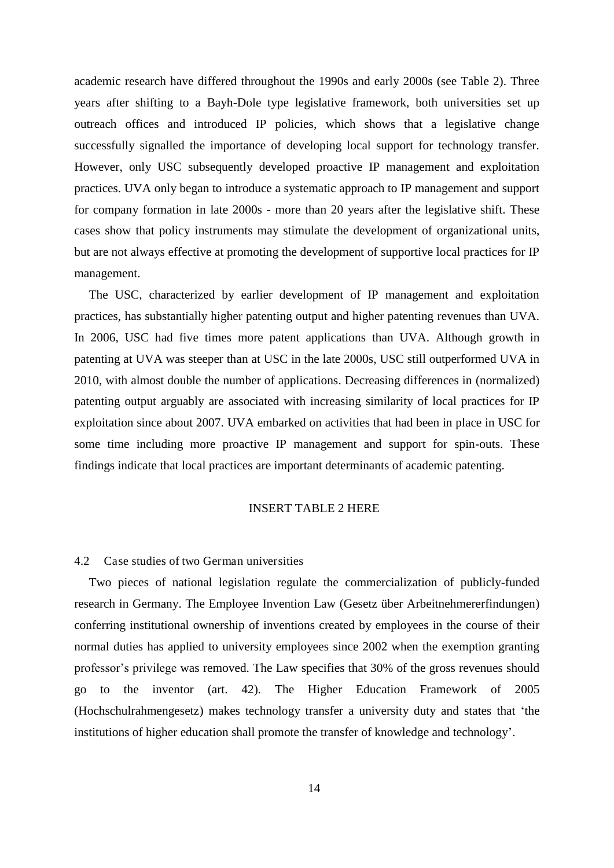academic research have differed throughout the 1990s and early 2000s (see Table 2). Three years after shifting to a Bayh-Dole type legislative framework, both universities set up outreach offices and introduced IP policies, which shows that a legislative change successfully signalled the importance of developing local support for technology transfer. However, only USC subsequently developed proactive IP management and exploitation practices. UVA only began to introduce a systematic approach to IP management and support for company formation in late 2000s - more than 20 years after the legislative shift. These cases show that policy instruments may stimulate the development of organizational units, but are not always effective at promoting the development of supportive local practices for IP management.

The USC, characterized by earlier development of IP management and exploitation practices, has substantially higher patenting output and higher patenting revenues than UVA. In 2006, USC had five times more patent applications than UVA. Although growth in patenting at UVA was steeper than at USC in the late 2000s, USC still outperformed UVA in 2010, with almost double the number of applications. Decreasing differences in (normalized) patenting output arguably are associated with increasing similarity of local practices for IP exploitation since about 2007. UVA embarked on activities that had been in place in USC for some time including more proactive IP management and support for spin-outs. These findings indicate that local practices are important determinants of academic patenting.

#### INSERT TABLE 2 HERE

#### 4.2 Case studies of two German universities

Two pieces of national legislation regulate the commercialization of publicly-funded research in Germany. The Employee Invention Law (Gesetz über Arbeitnehmererfindungen) conferring institutional ownership of inventions created by employees in the course of their normal duties has applied to university employees since 2002 when the exemption granting professor's privilege was removed. The Law specifies that 30% of the gross revenues should go to the inventor (art. 42). The Higher Education Framework of 2005 (Hochschulrahmengesetz) makes technology transfer a university duty and states that 'the institutions of higher education shall promote the transfer of knowledge and technology'.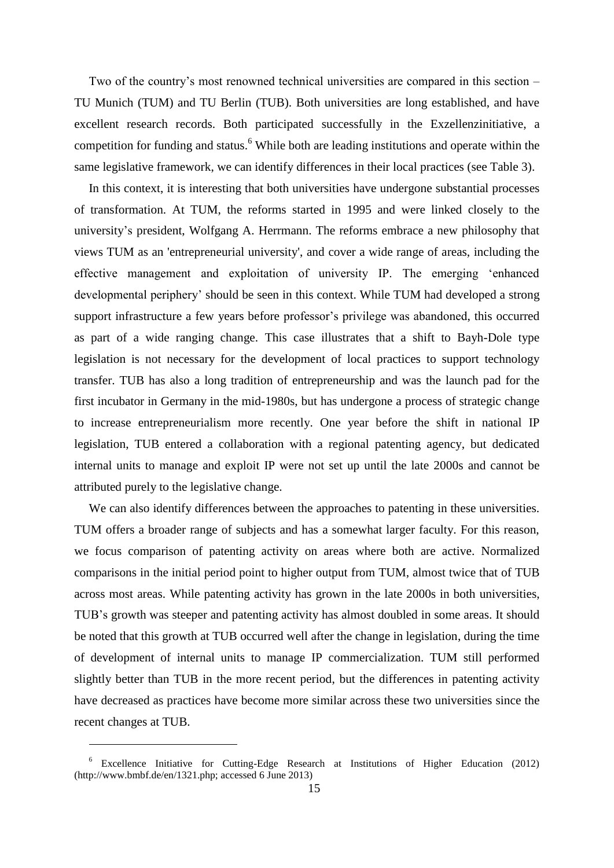Two of the country's most renowned technical universities are compared in this section – TU Munich (TUM) and TU Berlin (TUB). Both universities are long established, and have excellent research records. Both participated successfully in the Exzellenzinitiative, a competition for funding and status.<sup>6</sup> While both are leading institutions and operate within the same legislative framework, we can identify differences in their local practices (see Table 3).

In this context, it is interesting that both universities have undergone substantial processes of transformation. At TUM, the reforms started in 1995 and were linked closely to the university's president, Wolfgang A. Herrmann. The reforms embrace a new philosophy that views TUM as an 'entrepreneurial university', and cover a wide range of areas, including the effective management and exploitation of university IP. The emerging 'enhanced developmental periphery' should be seen in this context. While TUM had developed a strong support infrastructure a few years before professor's privilege was abandoned, this occurred as part of a wide ranging change. This case illustrates that a shift to Bayh-Dole type legislation is not necessary for the development of local practices to support technology transfer. TUB has also a long tradition of entrepreneurship and was the launch pad for the first incubator in Germany in the mid-1980s, but has undergone a process of strategic change to increase entrepreneurialism more recently. One year before the shift in national IP legislation, TUB entered a collaboration with a regional patenting agency, but dedicated internal units to manage and exploit IP were not set up until the late 2000s and cannot be attributed purely to the legislative change.

We can also identify differences between the approaches to patenting in these universities. TUM offers a broader range of subjects and has a somewhat larger faculty. For this reason, we focus comparison of patenting activity on areas where both are active. Normalized comparisons in the initial period point to higher output from TUM, almost twice that of TUB across most areas. While patenting activity has grown in the late 2000s in both universities, TUB's growth was steeper and patenting activity has almost doubled in some areas. It should be noted that this growth at TUB occurred well after the change in legislation, during the time of development of internal units to manage IP commercialization. TUM still performed slightly better than TUB in the more recent period, but the differences in patenting activity have decreased as practices have become more similar across these two universities since the recent changes at TUB.

 $\overline{a}$ 

<sup>&</sup>lt;sup>6</sup> Excellence Initiative for Cutting-Edge Research at Institutions of Higher Education (2012)  $(\text{http://www.bmbf.de/en/1321.php: accessed 6 June 2013})$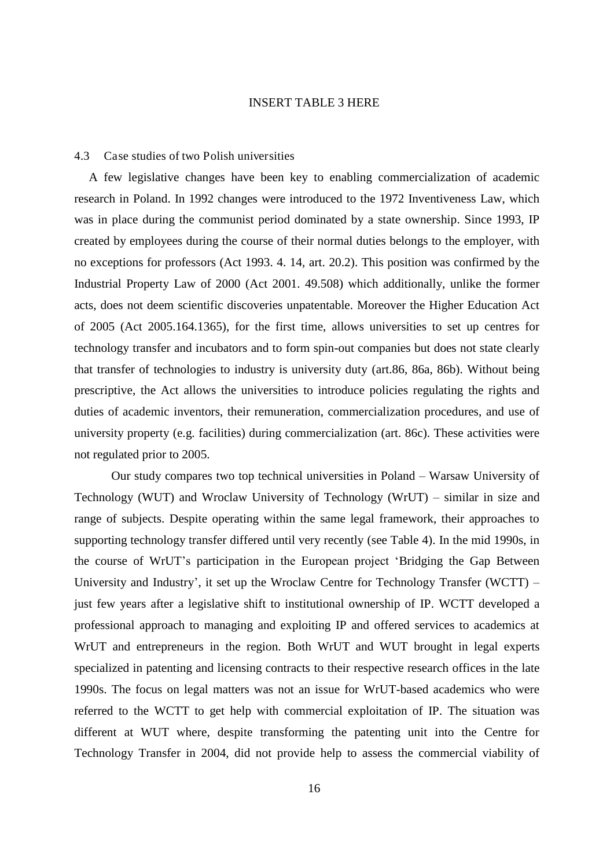#### INSERT TABLE 3 HERE

#### 4.3 Case studies of two Polish universities

A few legislative changes have been key to enabling commercialization of academic research in Poland. In 1992 changes were introduced to the 1972 Inventiveness Law, which was in place during the communist period dominated by a state ownership. Since 1993, IP created by employees during the course of their normal duties belongs to the employer, with no exceptions for professors (Act 1993. 4. 14, art. 20.2). This position was confirmed by the Industrial Property Law of 2000 (Act 2001. 49.508) which additionally, unlike the former acts, does not deem scientific discoveries unpatentable. Moreover the Higher Education Act of 2005 (Act 2005.164.1365), for the first time, allows universities to set up centres for technology transfer and incubators and to form spin-out companies but does not state clearly that transfer of technologies to industry is university duty (art.86, 86a, 86b). Without being prescriptive, the Act allows the universities to introduce policies regulating the rights and duties of academic inventors, their remuneration, commercialization procedures, and use of university property (e.g. facilities) during commercialization (art. 86c). These activities were not regulated prior to 2005.

 Our study compares two top technical universities in Poland – Warsaw University of Technology (WUT) and Wroclaw University of Technology (WrUT) – similar in size and range of subjects. Despite operating within the same legal framework, their approaches to supporting technology transfer differed until very recently (see Table 4). In the mid 1990s, in the course of WrUT's participation in the European project 'Bridging the Gap Between University and Industry', it set up the Wroclaw Centre for Technology Transfer (WCTT) – just few years after a legislative shift to institutional ownership of IP. WCTT developed a professional approach to managing and exploiting IP and offered services to academics at WrUT and entrepreneurs in the region. Both WrUT and WUT brought in legal experts specialized in patenting and licensing contracts to their respective research offices in the late 1990s. The focus on legal matters was not an issue for WrUT-based academics who were referred to the WCTT to get help with commercial exploitation of IP. The situation was different at WUT where, despite transforming the patenting unit into the Centre for Technology Transfer in 2004, did not provide help to assess the commercial viability of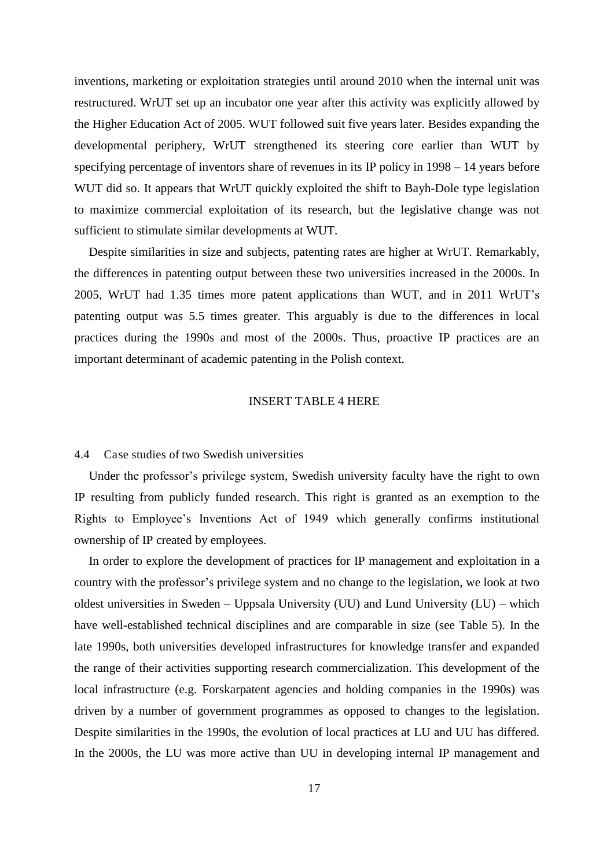inventions, marketing or exploitation strategies until around 2010 when the internal unit was restructured. WrUT set up an incubator one year after this activity was explicitly allowed by the Higher Education Act of 2005. WUT followed suit five years later. Besides expanding the developmental periphery, WrUT strengthened its steering core earlier than WUT by specifying percentage of inventors share of revenues in its IP policy in 1998 – 14 years before WUT did so. It appears that WrUT quickly exploited the shift to Bayh-Dole type legislation to maximize commercial exploitation of its research, but the legislative change was not sufficient to stimulate similar developments at WUT.

Despite similarities in size and subjects, patenting rates are higher at WrUT. Remarkably, the differences in patenting output between these two universities increased in the 2000s. In 2005, WrUT had 1.35 times more patent applications than WUT, and in 2011 WrUT's patenting output was 5.5 times greater. This arguably is due to the differences in local practices during the 1990s and most of the 2000s. Thus, proactive IP practices are an important determinant of academic patenting in the Polish context.

#### INSERT TABLE 4 HERE

#### 4.4 Case studies of two Swedish universities

Under the professor's privilege system, Swedish university faculty have the right to own IP resulting from publicly funded research. This right is granted as an exemption to the Rights to Employee's Inventions Act of 1949 which generally confirms institutional ownership of IP created by employees.

In order to explore the development of practices for IP management and exploitation in a country with the professor's privilege system and no change to the legislation, we look at two oldest universities in Sweden – Uppsala University (UU) and Lund University (LU) – which have well-established technical disciplines and are comparable in size (see Table 5). In the late 1990s, both universities developed infrastructures for knowledge transfer and expanded the range of their activities supporting research commercialization. This development of the local infrastructure (e.g. Forskarpatent agencies and holding companies in the 1990s) was driven by a number of government programmes as opposed to changes to the legislation. Despite similarities in the 1990s, the evolution of local practices at LU and UU has differed. In the 2000s, the LU was more active than UU in developing internal IP management and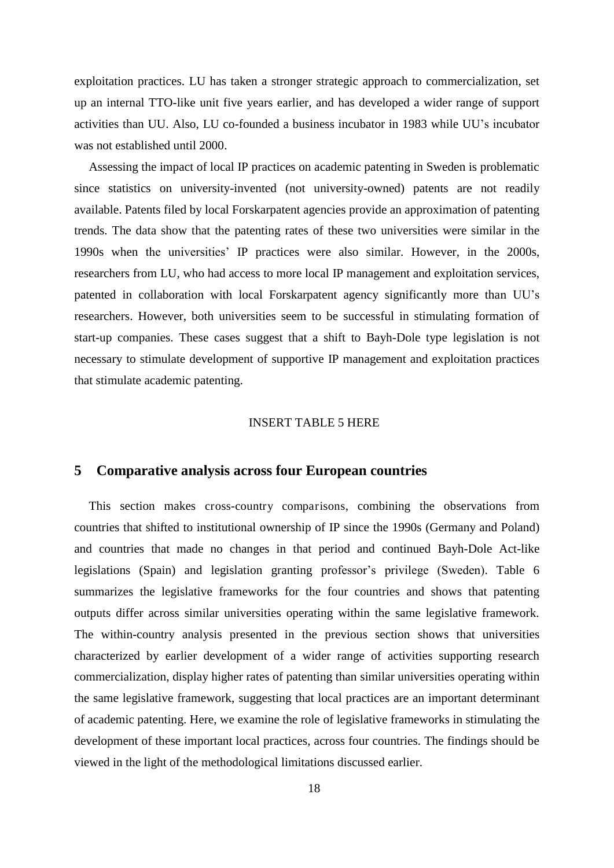exploitation practices. LU has taken a stronger strategic approach to commercialization, set up an internal TTO-like unit five years earlier, and has developed a wider range of support activities than UU. Also, LU co-founded a business incubator in 1983 while UU's incubator was not established until 2000.

Assessing the impact of local IP practices on academic patenting in Sweden is problematic since statistics on university-invented (not university-owned) patents are not readily available. Patents filed by local Forskarpatent agencies provide an approximation of patenting trends. The data show that the patenting rates of these two universities were similar in the 1990s when the universities' IP practices were also similar. However, in the 2000s, researchers from LU, who had access to more local IP management and exploitation services, patented in collaboration with local Forskarpatent agency significantly more than UU's researchers. However, both universities seem to be successful in stimulating formation of start-up companies. These cases suggest that a shift to Bayh-Dole type legislation is not necessary to stimulate development of supportive IP management and exploitation practices that stimulate academic patenting.

#### INSERT TABLE 5 HERE

## **5 Comparative analysis across four European countries**

This section makes cross-country comparisons, combining the observations from countries that shifted to institutional ownership of IP since the 1990s (Germany and Poland) and countries that made no changes in that period and continued Bayh-Dole Act-like legislations (Spain) and legislation granting professor's privilege (Sweden). Table 6 summarizes the legislative frameworks for the four countries and shows that patenting outputs differ across similar universities operating within the same legislative framework. The within-country analysis presented in the previous section shows that universities characterized by earlier development of a wider range of activities supporting research commercialization, display higher rates of patenting than similar universities operating within the same legislative framework, suggesting that local practices are an important determinant of academic patenting. Here, we examine the role of legislative frameworks in stimulating the development of these important local practices, across four countries. The findings should be viewed in the light of the methodological limitations discussed earlier.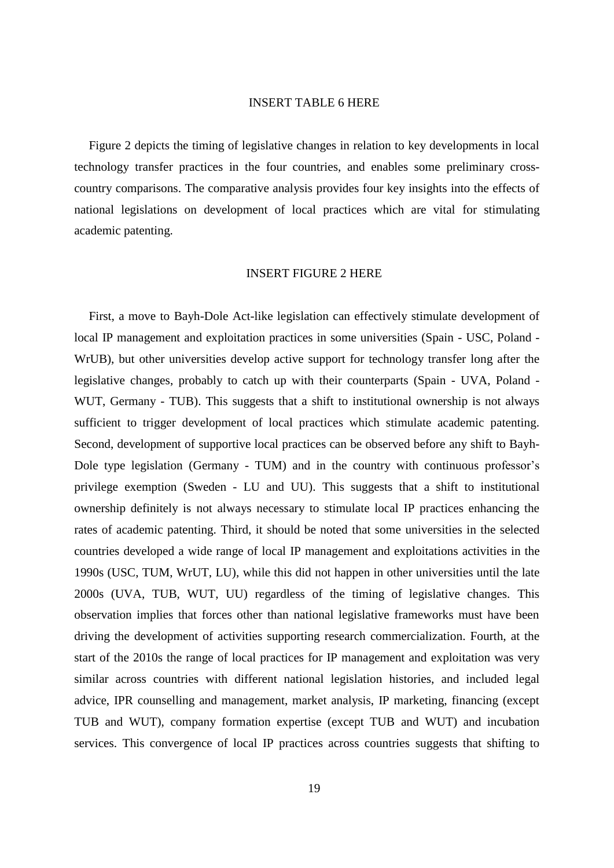#### INSERT TABLE 6 HERE

Figure 2 depicts the timing of legislative changes in relation to key developments in local technology transfer practices in the four countries, and enables some preliminary crosscountry comparisons. The comparative analysis provides four key insights into the effects of national legislations on development of local practices which are vital for stimulating academic patenting.

#### INSERT FIGURE 2 HERE

First, a move to Bayh-Dole Act-like legislation can effectively stimulate development of local IP management and exploitation practices in some universities (Spain - USC, Poland - WrUB), but other universities develop active support for technology transfer long after the legislative changes, probably to catch up with their counterparts (Spain - UVA, Poland - WUT, Germany - TUB). This suggests that a shift to institutional ownership is not always sufficient to trigger development of local practices which stimulate academic patenting. Second, development of supportive local practices can be observed before any shift to Bayh-Dole type legislation (Germany - TUM) and in the country with continuous professor's privilege exemption (Sweden - LU and UU). This suggests that a shift to institutional ownership definitely is not always necessary to stimulate local IP practices enhancing the rates of academic patenting. Third, it should be noted that some universities in the selected countries developed a wide range of local IP management and exploitations activities in the 1990s (USC, TUM, WrUT, LU), while this did not happen in other universities until the late 2000s (UVA, TUB, WUT, UU) regardless of the timing of legislative changes. This observation implies that forces other than national legislative frameworks must have been driving the development of activities supporting research commercialization. Fourth, at the start of the 2010s the range of local practices for IP management and exploitation was very similar across countries with different national legislation histories, and included legal advice, IPR counselling and management, market analysis, IP marketing, financing (except TUB and WUT), company formation expertise (except TUB and WUT) and incubation services. This convergence of local IP practices across countries suggests that shifting to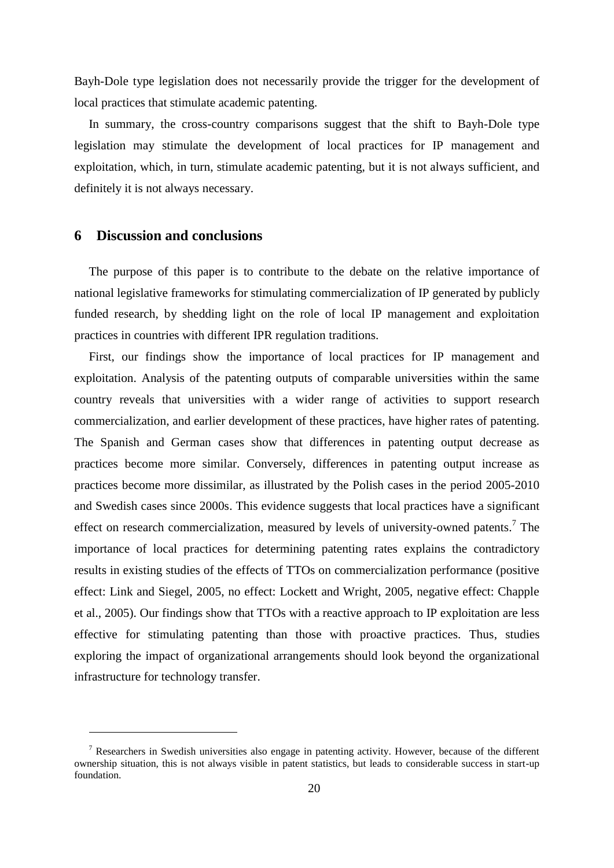Bayh-Dole type legislation does not necessarily provide the trigger for the development of local practices that stimulate academic patenting.

In summary, the cross-country comparisons suggest that the shift to Bayh-Dole type legislation may stimulate the development of local practices for IP management and exploitation, which, in turn, stimulate academic patenting, but it is not always sufficient, and definitely it is not always necessary.

## **6 Discussion and conclusions**

 $\overline{a}$ 

The purpose of this paper is to contribute to the debate on the relative importance of national legislative frameworks for stimulating commercialization of IP generated by publicly funded research, by shedding light on the role of local IP management and exploitation practices in countries with different IPR regulation traditions.

First, our findings show the importance of local practices for IP management and exploitation. Analysis of the patenting outputs of comparable universities within the same country reveals that universities with a wider range of activities to support research commercialization, and earlier development of these practices, have higher rates of patenting. The Spanish and German cases show that differences in patenting output decrease as practices become more similar. Conversely, differences in patenting output increase as practices become more dissimilar, as illustrated by the Polish cases in the period 2005-2010 and Swedish cases since 2000s. This evidence suggests that local practices have a significant effect on research commercialization, measured by levels of university-owned patents.<sup>7</sup> The importance of local practices for determining patenting rates explains the contradictory results in existing studies of the effects of TTOs on commercialization performance (positive effect: Link and Siegel, 2005, no effect: Lockett and Wright, 2005, negative effect: Chapple et al., 2005). Our findings show that TTOs with a reactive approach to IP exploitation are less effective for stimulating patenting than those with proactive practices. Thus, studies exploring the impact of organizational arrangements should look beyond the organizational infrastructure for technology transfer.

 $7$  Researchers in Swedish universities also engage in patenting activity. However, because of the different ownership situation, this is not always visible in patent statistics, but leads to considerable success in start-up foundation.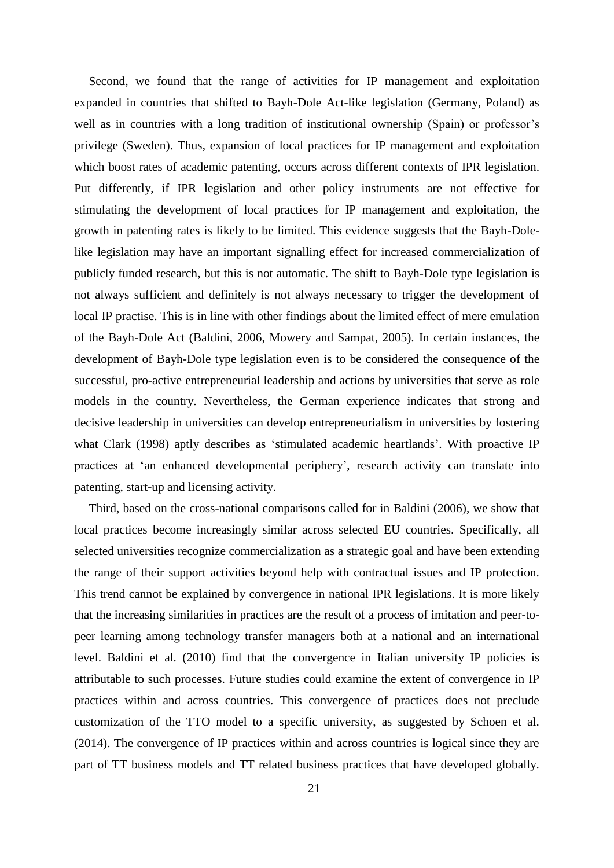Second, we found that the range of activities for IP management and exploitation expanded in countries that shifted to Bayh-Dole Act-like legislation (Germany, Poland) as well as in countries with a long tradition of institutional ownership (Spain) or professor's privilege (Sweden). Thus, expansion of local practices for IP management and exploitation which boost rates of academic patenting, occurs across different contexts of IPR legislation. Put differently, if IPR legislation and other policy instruments are not effective for stimulating the development of local practices for IP management and exploitation, the growth in patenting rates is likely to be limited. This evidence suggests that the Bayh-Dolelike legislation may have an important signalling effect for increased commercialization of publicly funded research, but this is not automatic. The shift to Bayh-Dole type legislation is not always sufficient and definitely is not always necessary to trigger the development of local IP practise. This is in line with other findings about the limited effect of mere emulation of the Bayh-Dole Act (Baldini, 2006, Mowery and Sampat, 2005). In certain instances, the development of Bayh-Dole type legislation even is to be considered the consequence of the successful, pro-active entrepreneurial leadership and actions by universities that serve as role models in the country. Nevertheless, the German experience indicates that strong and decisive leadership in universities can develop entrepreneurialism in universities by fostering what Clark (1998) aptly describes as 'stimulated academic heartlands'. With proactive IP practices at 'an enhanced developmental periphery', research activity can translate into patenting, start-up and licensing activity.

Third, based on the cross-national comparisons called for in Baldini (2006), we show that local practices become increasingly similar across selected EU countries. Specifically, all selected universities recognize commercialization as a strategic goal and have been extending the range of their support activities beyond help with contractual issues and IP protection. This trend cannot be explained by convergence in national IPR legislations. It is more likely that the increasing similarities in practices are the result of a process of imitation and peer-topeer learning among technology transfer managers both at a national and an international level. Baldini et al. (2010) find that the convergence in Italian university IP policies is attributable to such processes. Future studies could examine the extent of convergence in IP practices within and across countries. This convergence of practices does not preclude customization of the TTO model to a specific university, as suggested by Schoen et al. (2014). The convergence of IP practices within and across countries is logical since they are part of TT business models and TT related business practices that have developed globally.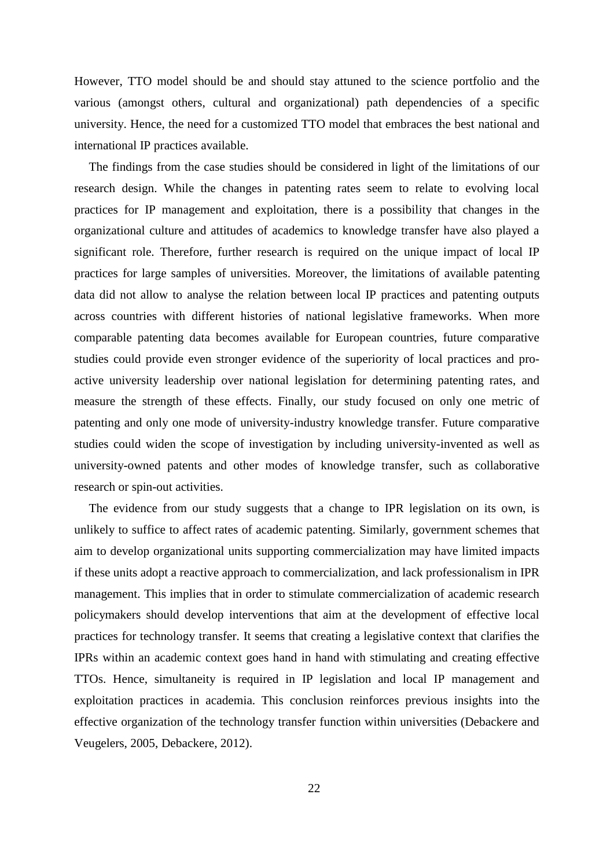However, TTO model should be and should stay attuned to the science portfolio and the various (amongst others, cultural and organizational) path dependencies of a specific university. Hence, the need for a customized TTO model that embraces the best national and international IP practices available.

The findings from the case studies should be considered in light of the limitations of our research design. While the changes in patenting rates seem to relate to evolving local practices for IP management and exploitation, there is a possibility that changes in the organizational culture and attitudes of academics to knowledge transfer have also played a significant role. Therefore, further research is required on the unique impact of local IP practices for large samples of universities. Moreover, the limitations of available patenting data did not allow to analyse the relation between local IP practices and patenting outputs across countries with different histories of national legislative frameworks. When more comparable patenting data becomes available for European countries, future comparative studies could provide even stronger evidence of the superiority of local practices and proactive university leadership over national legislation for determining patenting rates, and measure the strength of these effects. Finally, our study focused on only one metric of patenting and only one mode of university-industry knowledge transfer. Future comparative studies could widen the scope of investigation by including university-invented as well as university-owned patents and other modes of knowledge transfer, such as collaborative research or spin-out activities.

The evidence from our study suggests that a change to IPR legislation on its own, is unlikely to suffice to affect rates of academic patenting. Similarly, government schemes that aim to develop organizational units supporting commercialization may have limited impacts if these units adopt a reactive approach to commercialization, and lack professionalism in IPR management. This implies that in order to stimulate commercialization of academic research policymakers should develop interventions that aim at the development of effective local practices for technology transfer. It seems that creating a legislative context that clarifies the IPRs within an academic context goes hand in hand with stimulating and creating effective TTOs. Hence, simultaneity is required in IP legislation and local IP management and exploitation practices in academia. This conclusion reinforces previous insights into the effective organization of the technology transfer function within universities (Debackere and Veugelers, 2005, Debackere, 2012).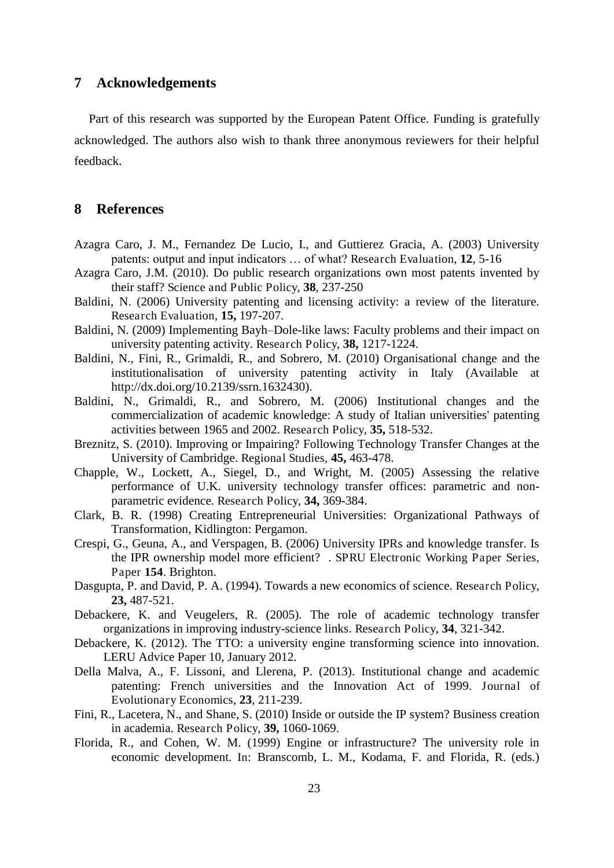#### **7 Acknowledgements**

Part of this research was supported by the European Patent Office. Funding is gratefully acknowledged. The authors also wish to thank three anonymous reviewers for their helpful feedback.

# **8 References**

- Azagra Caro, J. M., Fernandez De Lucio, I., and Guttierez Gracia, A. (2003) University patents: output and input indicators … of what? Research Evaluation, **12**, 5-16
- Azagra Caro, J.M. (2010). Do public research organizations own most patents invented by their staff? Science and Public Policy, **38**, 237-250
- Baldini, N. (2006) University patenting and licensing activity: a review of the literature. Research Evaluation, **15,** 197-207.
- Baldini, N. (2009) Implementing Bayh–Dole-like laws: Faculty problems and their impact on university patenting activity. Research Policy, **38,** 1217-1224.
- Baldini, N., Fini, R., Grimaldi, R., and Sobrero, M. (2010) Organisational change and the institutionalisation of university patenting activity in Italy (Available at http://dx.doi.org/10.2139/ssrn.1632430).
- Baldini, N., Grimaldi, R., and Sobrero, M. (2006) Institutional changes and the commercialization of academic knowledge: A study of Italian universities' patenting activities between 1965 and 2002. Research Policy, **35,** 518-532.
- Breznitz, S. (2010). Improving or Impairing? Following Technology Transfer Changes at the University of Cambridge. Regional Studies, **45,** 463-478.
- Chapple, W., Lockett, A., Siegel, D., and Wright, M. (2005) Assessing the relative performance of U.K. university technology transfer offices: parametric and nonparametric evidence. Research Policy, **34,** 369-384.
- Clark, B. R. (1998) Creating Entrepreneurial Universities: Organizational Pathways of Transformation, Kidlington: Pergamon.
- <span id="page-23-0"></span>Crespi, G., Geuna, A., and Verspagen, B. (2006) University IPRs and knowledge transfer. Is the IPR ownership model more efficient? . SPRU Electronic Working Paper Series, Paper **154**. Brighton.
- Dasgupta, P. and David, P. A. (1994). Towards a new economics of science. Research Policy, **23,** 487-521.
- Debackere, K. and Veugelers, R. (2005). The role of academic technology transfer organizations in improving industry-science links. Research Policy, **34**, 321-342.
- Debackere, K. (2012). The TTO: a university engine transforming science into innovation. LERU Advice Paper 10, January 2012.
- Della Malva, A., F. Lissoni, and Llerena, P. (2013). Institutional change and academic patenting: French universities and the Innovation Act of 1999. Journal of Evolutionary Economics, **23**, 211-239.
- <span id="page-23-1"></span>Fini, R., Lacetera, N., and Shane, S. (2010) Inside or outside the IP system? Business creation in academia. Research Policy, **39,** 1060-1069.
- Florida, R., and Cohen, W. M. (1999) Engine or infrastructure? The university role in economic development. In: Branscomb, L. M., Kodama, F. and Florida, R. (eds.)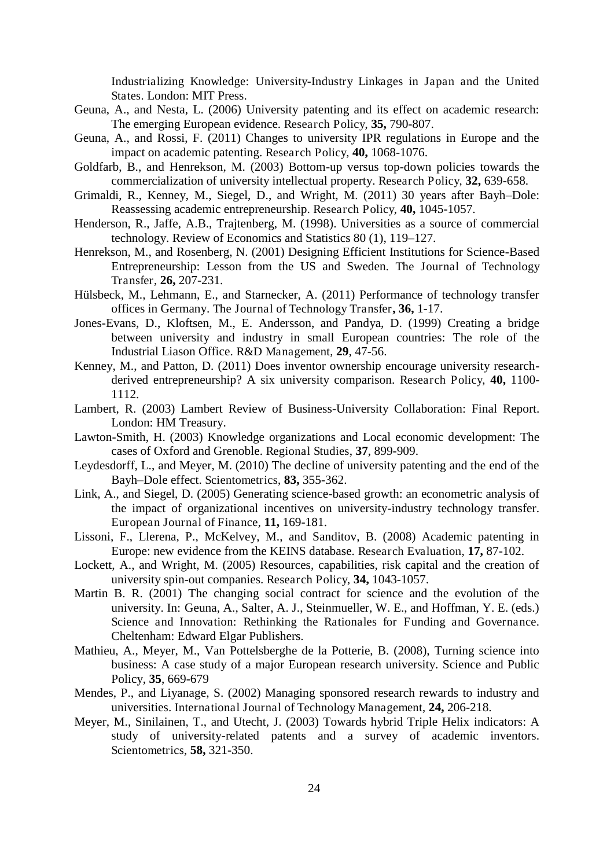Industrializing Knowledge: University-Industry Linkages in Japan and the United States. London: MIT Press.

- Geuna, A., and Nesta, L. (2006) University patenting and its effect on academic research: The emerging European evidence. Research Policy, **35,** 790-807.
- Geuna, A., and Rossi, F. (2011) Changes to university IPR regulations in Europe and the impact on academic patenting. Research Policy, **40,** 1068-1076.
- Goldfarb, B., and Henrekson, M. (2003) Bottom-up versus top-down policies towards the commercialization of university intellectual property. Research Policy, **32,** 639-658.
- Grimaldi, R., Kenney, M., Siegel, D., and Wright, M. (2011) 30 years after Bayh–Dole: Reassessing academic entrepreneurship. Research Policy, **40,** 1045-1057.
- Henderson, R., Jaffe, A.B., Trajtenberg, M. (1998). Universities as a source of commercial technology. Review of Economics and Statistics 80 (1), 119–127.
- Henrekson, M., and Rosenberg, N. (2001) Designing Efficient Institutions for Science-Based Entrepreneurship: Lesson from the US and Sweden. The Journal of Technology Transfer, **26,** 207-231.
- Hülsbeck, M., Lehmann, E., and Starnecker, A. (2011) Performance of technology transfer offices in Germany. The Journal of Technology Transfer**, 36,** 1-17.
- Jones-Evans, D., Kloftsen, M., E. Andersson, and Pandya, D. (1999) Creating a bridge between university and industry in small European countries: The role of the Industrial Liason Office. R&D Management, **29**, 47-56.
- Kenney, M., and Patton, D. (2011) Does inventor ownership encourage university researchderived entrepreneurship? A six university comparison. Research Policy, **40,** 1100- 1112.
- Lambert, R. (2003) Lambert Review of Business-University Collaboration: Final Report. London: HM Treasury.
- Lawton-Smith, H. (2003) Knowledge organizations and Local economic development: The cases of Oxford and Grenoble. Regional Studies, **37**, 899-909.
- Leydesdorff, L., and Meyer, M. (2010) The decline of university patenting and the end of the Bayh–Dole effect. Scientometrics, **83,** 355-362.
- Link, A., and Siegel, D. (2005) Generating science-based growth: an econometric analysis of the impact of organizational incentives on university-industry technology transfer. European Journal of Finance, **11,** 169-181.
- Lissoni, F., Llerena, P., McKelvey, M., and Sanditov, B. (2008) Academic patenting in Europe: new evidence from the KEINS database. Research Evaluation, **17,** 87-102.
- Lockett, A., and Wright, M. (2005) Resources, capabilities, risk capital and the creation of university spin-out companies. Research Policy, **34,** 1043-1057.
- Martin B. R. (2001) The changing social contract for science and the evolution of the university. In: Geuna, A., Salter, A. J., Steinmueller, W. E., and Hoffman, Y. E. (eds.) Science and Innovation: Rethinking the Rationales for Funding and Governance. Cheltenham: Edward Elgar Publishers.
- Mathieu, A., Meyer, M., Van Pottelsberghe de la Potterie, B. (2008), Turning science into business: A case study of a major European research university. Science and Public Policy, **35**, 669-679
- Mendes, P., and Liyanage, S. (2002) Managing sponsored research rewards to industry and universities. International Journal of Technology Management, **24,** 206-218.
- Meyer, M., Sinilainen, T., and Utecht, J. (2003) Towards hybrid Triple Helix indicators: A study of university-related patents and a survey of academic inventors. Scientometrics, **58,** 321-350.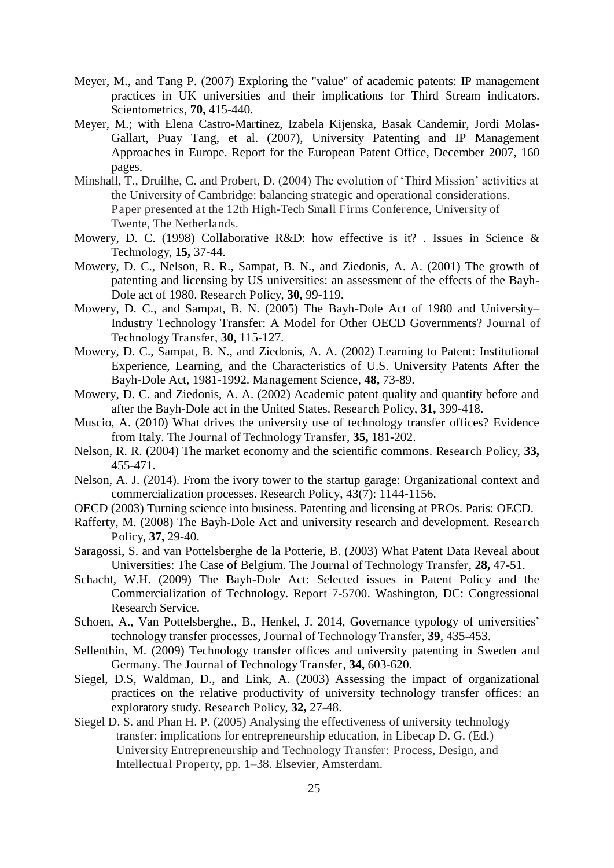- Meyer, M., and Tang P. (2007) Exploring the "value" of academic patents: IP management practices in UK universities and their implications for Third Stream indicators. Scientometrics, **70,** 415-440.
- Meyer, M.; with Elena Castro-Martinez, Izabela Kijenska, Basak Candemir, Jordi Molas-Gallart, Puay Tang, et al. (2007), University Patenting and IP Management Approaches in Europe. Report for the European Patent Office, December 2007, 160 pages.
- Minshall, T., Druilhe, C. and Probert, D. (2004) The evolution of 'Third Mission' activities at the University of Cambridge: balancing strategic and operational considerations. Paper presented at the 12th High-Tech Small Firms Conference, University of Twente, The Netherlands.
- Mowery, D. C. (1998) Collaborative R&D: how effective is it? . Issues in Science & Technology, **15,** 37-44.
- Mowery, D. C., Nelson, R. R., Sampat, B. N., and Ziedonis, A. A. (2001) The growth of patenting and licensing by US universities: an assessment of the effects of the Bayh-Dole act of 1980. Research Policy, **30,** 99-119.
- Mowery, D. C., and Sampat, B. N. (2005) The Bayh-Dole Act of 1980 and University– Industry Technology Transfer: A Model for Other OECD Governments? Journal of Technology Transfer, **30,** 115-127.
- Mowery, D. C., Sampat, B. N., and Ziedonis, A. A. (2002) Learning to Patent: Institutional Experience, Learning, and the Characteristics of U.S. University Patents After the Bayh-Dole Act, 1981-1992. Management Science, **48,** 73-89.
- Mowery, D. C. and Ziedonis, A. A. (2002) Academic patent quality and quantity before and after the Bayh-Dole act in the United States. Research Policy, **31,** 399-418.
- Muscio, A. (2010) What drives the university use of technology transfer offices? Evidence from Italy. The Journal of Technology Transfer, **35,** 181-202.
- Nelson, R. R. (2004) The market economy and the scientific commons. Research Policy, **33,** 455-471.
- Nelson, A. J. (2014). From the ivory tower to the startup garage: Organizational context and commercialization processes. Research Policy, 43(7): 1144-1156.
- OECD (2003) Turning science into business. Patenting and licensing at PROs. Paris: OECD.
- Rafferty, M. (2008) The Bayh-Dole Act and university research and development. Research Policy, **37,** 29-40.
- Saragossi, S. and van Pottelsberghe de la Potterie, B. (2003) What Patent Data Reveal about Universities: The Case of Belgium. The Journal of Technology Transfer, **28,** 47-51.
- Schacht, W.H. (2009) The Bayh-Dole Act: Selected issues in Patent Policy and the Commercialization of Technology. Report 7-5700. Washington, DC: Congressional Research Service.
- Schoen, A., Van Pottelsberghe., B., Henkel, J. 2014, Governance typology of universities' technology transfer processes, Journal of Technology Transfer, **39**, 435-453.
- Sellenthin, M. (2009) Technology transfer offices and university patenting in Sweden and Germany. The Journal of Technology Transfer, **34,** 603-620.
- Siegel, D.S, Waldman, D., and Link, A. (2003) Assessing the impact of organizational practices on the relative productivity of university technology transfer offices: an exploratory study. Research Policy, **32,** 27-48.
- Siegel D. S. and Phan H. P. (2005) Analysing the effectiveness of university technology transfer: implications for entrepreneurship education, in Libecap D. G. (Ed.) University Entrepreneurship and Technology Transfer: Process, Design, and Intellectual Property, pp. 1–38. Elsevier, Amsterdam.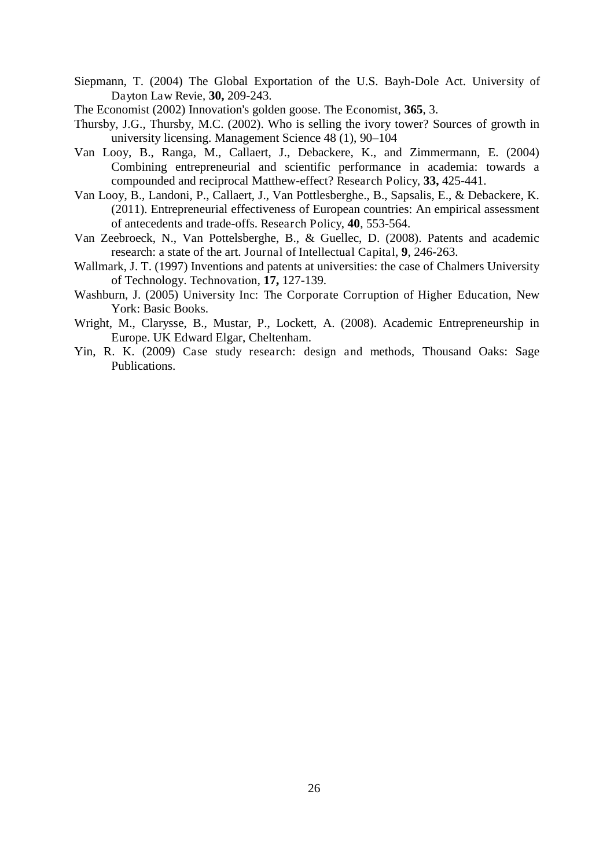- Siepmann, T. (2004) The Global Exportation of the U.S. Bayh-Dole Act. University of Dayton Law Revie, **30,** 209-243.
- The Economist (2002) Innovation's golden goose. The Economist, **365**, 3.
- Thursby, J.G., Thursby, M.C. (2002). Who is selling the ivory tower? Sources of growth in university licensing. Management Science 48 (1), 90–104
- Van Looy, B., Ranga, M., Callaert, J., Debackere, K., and Zimmermann, E. (2004) Combining entrepreneurial and scientific performance in academia: towards a compounded and reciprocal Matthew-effect? Research Policy, **33,** 425-441.
- Van Looy, B., Landoni, P., Callaert, J., Van Pottlesberghe., B., Sapsalis, E., & Debackere, K. (2011). Entrepreneurial effectiveness of European countries: An empirical assessment of antecedents and trade-offs. Research Policy, **40**, 553-564.
- Van Zeebroeck, N., Van Pottelsberghe, B., & Guellec, D. (2008). Patents and academic research: a state of the art. Journal of Intellectual Capital, **9**, 246-263.
- Wallmark, J. T. (1997) Inventions and patents at universities: the case of Chalmers University of Technology. Technovation, **17,** 127-139.
- Washburn, J. (2005) University Inc: The Corporate Corruption of Higher Education, New York: Basic Books.
- Wright, M., Clarysse, B., Mustar, P., Lockett, A. (2008). Academic Entrepreneurship in Europe. UK Edward Elgar, Cheltenham.
- Yin, R. K. (2009) Case study research: design and methods, Thousand Oaks: Sage Publications.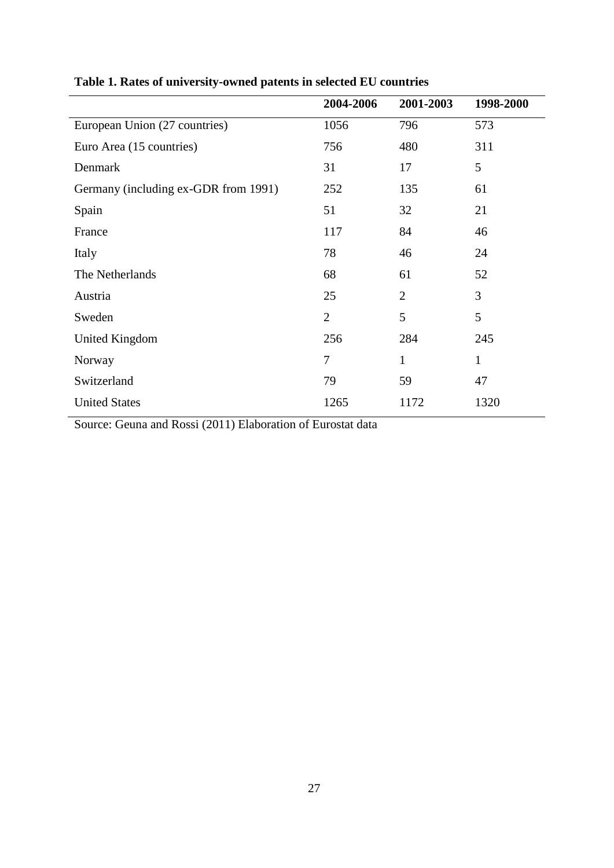|                                      | 2004-2006      | 2001-2003      | 1998-2000    |
|--------------------------------------|----------------|----------------|--------------|
| European Union (27 countries)        | 1056           | 796            | 573          |
| Euro Area (15 countries)             | 756            | 480            | 311          |
| Denmark                              | 31             | 17             | 5            |
| Germany (including ex-GDR from 1991) | 252            | 135            | 61           |
| Spain                                | 51             | 32             | 21           |
| France                               | 117            | 84             | 46           |
| Italy                                | 78             | 46             | 24           |
| The Netherlands                      | 68             | 61             | 52           |
| Austria                              | 25             | $\overline{2}$ | 3            |
| Sweden                               | $\overline{2}$ | 5              | 5            |
| United Kingdom                       | 256            | 284            | 245          |
| Norway                               | 7              | $\mathbf{1}$   | $\mathbf{1}$ |
| Switzerland                          | 79             | 59             | 47           |
| <b>United States</b>                 | 1265           | 1172           | 1320         |

# **Table 1. Rates of university-owned patents in selected EU countries**

Source: Geuna and Rossi (2011) Elaboration of Eurostat data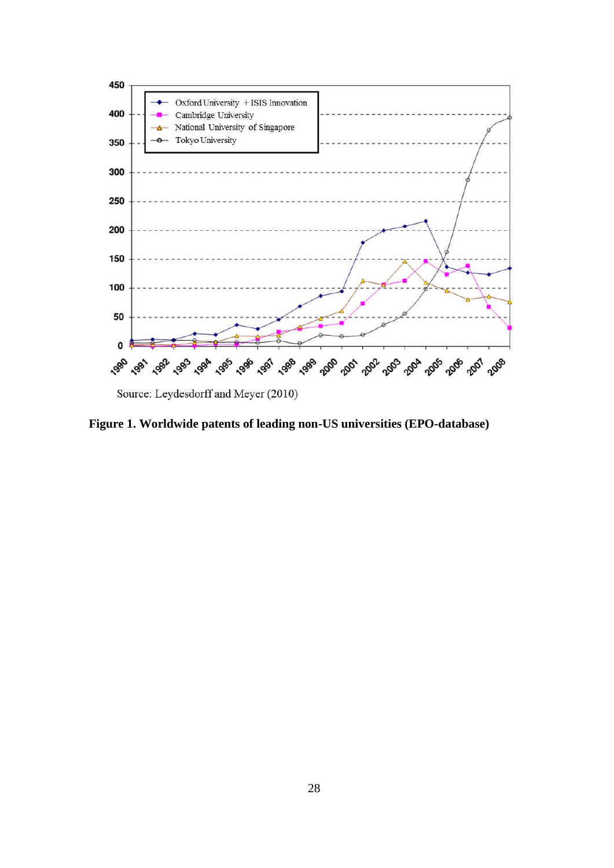

**Figure 1. Worldwide patents of leading non-US universities (EPO-database)**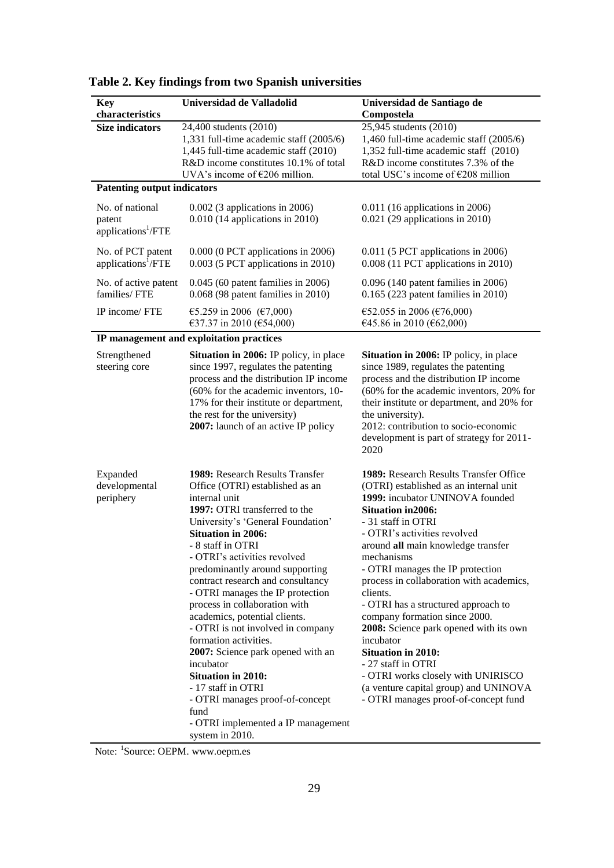| <b>Key</b>                                                  | Universidad de Valladolid                                                                                                                                                                                                                                                                                                                                                                                                                                                                                                                                                                                                                                                                        | Universidad de Santiago de                                                                                                                                                                                                                                                                                                                                                                                                                                                                                                                                                                                                                                      |
|-------------------------------------------------------------|--------------------------------------------------------------------------------------------------------------------------------------------------------------------------------------------------------------------------------------------------------------------------------------------------------------------------------------------------------------------------------------------------------------------------------------------------------------------------------------------------------------------------------------------------------------------------------------------------------------------------------------------------------------------------------------------------|-----------------------------------------------------------------------------------------------------------------------------------------------------------------------------------------------------------------------------------------------------------------------------------------------------------------------------------------------------------------------------------------------------------------------------------------------------------------------------------------------------------------------------------------------------------------------------------------------------------------------------------------------------------------|
| characteristics                                             |                                                                                                                                                                                                                                                                                                                                                                                                                                                                                                                                                                                                                                                                                                  | Compostela                                                                                                                                                                                                                                                                                                                                                                                                                                                                                                                                                                                                                                                      |
| <b>Size indicators</b>                                      | 24,400 students (2010)                                                                                                                                                                                                                                                                                                                                                                                                                                                                                                                                                                                                                                                                           | 25,945 students (2010)                                                                                                                                                                                                                                                                                                                                                                                                                                                                                                                                                                                                                                          |
|                                                             | 1,331 full-time academic staff (2005/6)<br>1,445 full-time academic staff (2010)<br>R&D income constitutes 10.1% of total<br>UVA's income of $\epsilon$ 206 million.                                                                                                                                                                                                                                                                                                                                                                                                                                                                                                                             | 1,460 full-time academic staff (2005/6)<br>1,352 full-time academic staff (2010)<br>R&D income constitutes 7.3% of the<br>total USC's income of €208 million                                                                                                                                                                                                                                                                                                                                                                                                                                                                                                    |
| <b>Patenting output indicators</b>                          |                                                                                                                                                                                                                                                                                                                                                                                                                                                                                                                                                                                                                                                                                                  |                                                                                                                                                                                                                                                                                                                                                                                                                                                                                                                                                                                                                                                                 |
| No. of national<br>patent<br>applications <sup>1</sup> /FTE | $0.002$ (3 applications in 2006)<br>$0.010$ (14 applications in 2010)                                                                                                                                                                                                                                                                                                                                                                                                                                                                                                                                                                                                                            | $0.011$ (16 applications in 2006)<br>$0.021$ (29 applications in 2010)                                                                                                                                                                                                                                                                                                                                                                                                                                                                                                                                                                                          |
| No. of PCT patent<br>applications <sup>1</sup> /FTE         | 0.000 (0 PCT applications in 2006)<br>0.003 (5 PCT applications in 2010)                                                                                                                                                                                                                                                                                                                                                                                                                                                                                                                                                                                                                         | 0.011 (5 PCT applications in 2006)<br>0.008 (11 PCT applications in 2010)                                                                                                                                                                                                                                                                                                                                                                                                                                                                                                                                                                                       |
| No. of active patent<br>families/FTE                        | $0.045$ (60 patent families in 2006)<br>$0.068$ (98 patent families in 2010)                                                                                                                                                                                                                                                                                                                                                                                                                                                                                                                                                                                                                     | 0.096 (140 patent families in 2006)<br>$0.165$ (223 patent families in 2010)                                                                                                                                                                                                                                                                                                                                                                                                                                                                                                                                                                                    |
| IP income/ FTE                                              | €5.259 in 2006 (€7,000)<br>€37.37 in 2010 (€54,000)                                                                                                                                                                                                                                                                                                                                                                                                                                                                                                                                                                                                                                              | €52.055 in 2006 (€76,000)<br>€45.86 in 2010 (€62,000)                                                                                                                                                                                                                                                                                                                                                                                                                                                                                                                                                                                                           |
|                                                             | IP management and exploitation practices                                                                                                                                                                                                                                                                                                                                                                                                                                                                                                                                                                                                                                                         |                                                                                                                                                                                                                                                                                                                                                                                                                                                                                                                                                                                                                                                                 |
| Strengthened<br>steering core                               | <b>Situation in 2006:</b> IP policy, in place<br>since 1997, regulates the patenting<br>process and the distribution IP income<br>(60% for the academic inventors, 10-<br>17% for their institute or department,<br>the rest for the university)<br>2007: launch of an active IP policy                                                                                                                                                                                                                                                                                                                                                                                                          | <b>Situation in 2006:</b> IP policy, in place<br>since 1989, regulates the patenting<br>process and the distribution IP income<br>(60% for the academic inventors, 20% for<br>their institute or department, and 20% for<br>the university).<br>2012: contribution to socio-economic<br>development is part of strategy for 2011-<br>2020                                                                                                                                                                                                                                                                                                                       |
| Expanded<br>developmental<br>periphery                      | 1989: Research Results Transfer<br>Office (OTRI) established as an<br>internal unit<br>1997: OTRI transferred to the<br>University's 'General Foundation'<br><b>Situation in 2006:</b><br>- 8 staff in OTRI<br>- OTRI's activities revolved<br>predominantly around supporting<br>contract research and consultancy<br>- OTRI manages the IP protection<br>process in collaboration with<br>academics, potential clients.<br>- OTRI is not involved in company<br>formation activities.<br>2007: Science park opened with an<br>incubator<br><b>Situation in 2010:</b><br>- 17 staff in OTRI<br>- OTRI manages proof-of-concept<br>fund<br>- OTRI implemented a IP management<br>system in 2010. | 1989: Research Results Transfer Office<br>(OTRI) established as an internal unit<br>1999: incubator UNINOVA founded<br><b>Situation in 2006:</b><br>- 31 staff in OTRI<br>- OTRI's activities revolved<br>around all main knowledge transfer<br>mechanisms<br>- OTRI manages the IP protection<br>process in collaboration with academics,<br>clients.<br>- OTRI has a structured approach to<br>company formation since 2000.<br>2008: Science park opened with its own<br>incubator<br><b>Situation in 2010:</b><br>- 27 staff in OTRI<br>- OTRI works closely with UNIRISCO<br>(a venture capital group) and UNINOVA<br>- OTRI manages proof-of-concept fund |

**Table 2. Key findings from two Spanish universities**

Note: <sup>1</sup>Source: OEPM. www.oepm.es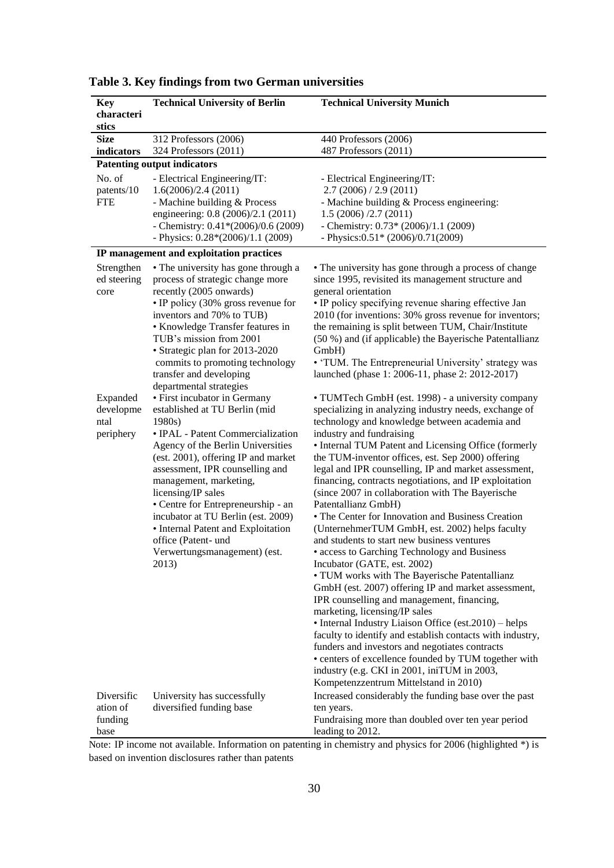| <b>Key</b>                         | <b>Technical University of Berlin</b>                                                                                                                                                                                                  | <b>Technical University Munich</b>                                                                                                                                                                                                                                                                                                 |
|------------------------------------|----------------------------------------------------------------------------------------------------------------------------------------------------------------------------------------------------------------------------------------|------------------------------------------------------------------------------------------------------------------------------------------------------------------------------------------------------------------------------------------------------------------------------------------------------------------------------------|
| characteri                         |                                                                                                                                                                                                                                        |                                                                                                                                                                                                                                                                                                                                    |
| stics                              |                                                                                                                                                                                                                                        |                                                                                                                                                                                                                                                                                                                                    |
| <b>Size</b>                        | 312 Professors (2006)                                                                                                                                                                                                                  | 440 Professors (2006)                                                                                                                                                                                                                                                                                                              |
| indicators                         | 324 Professors (2011)                                                                                                                                                                                                                  | 487 Professors (2011)                                                                                                                                                                                                                                                                                                              |
|                                    | <b>Patenting output indicators</b>                                                                                                                                                                                                     |                                                                                                                                                                                                                                                                                                                                    |
| No. of<br>patents/10<br><b>FTE</b> | - Electrical Engineering/IT:<br>1.6(2006)/2.4(2011)<br>- Machine building & Process<br>engineering: 0.8 (2006)/2.1 (2011)<br>- Chemistry: $0.41*(2006)/0.6(2009)$                                                                      | - Electrical Engineering/IT:<br>2.7(2006)/2.9(2011)<br>- Machine building & Process engineering:<br>1.5(2006)/2.7(2011)<br>- Chemistry: $0.73*(2006)/1.1(2009)$                                                                                                                                                                    |
|                                    | - Physics: 0.28*(2006)/1.1 (2009)                                                                                                                                                                                                      | - Physics: 0.51* (2006)/0.71(2009)                                                                                                                                                                                                                                                                                                 |
|                                    | IP management and exploitation practices                                                                                                                                                                                               |                                                                                                                                                                                                                                                                                                                                    |
| Strengthen                         | • The university has gone through a                                                                                                                                                                                                    |                                                                                                                                                                                                                                                                                                                                    |
| ed steering<br>core                | process of strategic change more<br>recently (2005 onwards)                                                                                                                                                                            | • The university has gone through a process of change<br>since 1995, revisited its management structure and<br>general orientation                                                                                                                                                                                                 |
|                                    | • IP policy (30% gross revenue for                                                                                                                                                                                                     | • IP policy specifying revenue sharing effective Jan                                                                                                                                                                                                                                                                               |
|                                    | inventors and 70% to TUB)                                                                                                                                                                                                              | 2010 (for inventions: 30% gross revenue for inventors;                                                                                                                                                                                                                                                                             |
|                                    | • Knowledge Transfer features in<br>TUB's mission from 2001<br>• Strategic plan for 2013-2020                                                                                                                                          | the remaining is split between TUM, Chair/Institute<br>(50 %) and (if applicable) the Bayerische Patentallianz<br>GmbH)                                                                                                                                                                                                            |
|                                    | commits to promoting technology<br>transfer and developing<br>departmental strategies                                                                                                                                                  | • 'TUM. The Entrepreneurial University' strategy was<br>launched (phase 1: 2006-11, phase 2: 2012-2017)                                                                                                                                                                                                                            |
| Expanded<br>developme<br>ntal      | • First incubator in Germany<br>established at TU Berlin (mid<br>1980s)                                                                                                                                                                | • TUMTech GmbH (est. 1998) - a university company<br>specializing in analyzing industry needs, exchange of<br>technology and knowledge between academia and                                                                                                                                                                        |
| periphery                          | • IPAL - Patent Commercialization<br>Agency of the Berlin Universities<br>(est. 2001), offering IP and market<br>assessment, IPR counselling and<br>management, marketing,<br>licensing/IP sales<br>• Centre for Entrepreneurship - an | industry and fundraising<br>• Internal TUM Patent and Licensing Office (formerly<br>the TUM-inventor offices, est. Sep 2000) offering<br>legal and IPR counselling, IP and market assessment,<br>financing, contracts negotiations, and IP exploitation<br>(since 2007 in collaboration with The Bayerische<br>Patentallianz GmbH) |
|                                    | incubator at TU Berlin (est. 2009)<br>• Internal Patent and Exploitation<br>office (Patent- und<br>Verwertungsmanagement) (est.<br>2013)                                                                                               | • The Center for Innovation and Business Creation<br>(UnternehmerTUM GmbH, est. 2002) helps faculty<br>and students to start new business ventures<br>• access to Garching Technology and Business<br>Incubator (GATE, est. 2002)                                                                                                  |
|                                    |                                                                                                                                                                                                                                        | • TUM works with The Bayerische Patentallianz<br>GmbH (est. 2007) offering IP and market assessment,<br>IPR counselling and management, financing,<br>marketing, licensing/IP sales<br>• Internal Industry Liaison Office (est.2010) – helps<br>faculty to identify and establish contacts with industry,                          |
|                                    |                                                                                                                                                                                                                                        | funders and investors and negotiates contracts<br>• centers of excellence founded by TUM together with<br>industry (e.g. CKI in 2001, iniTUM in 2003,<br>Kompetenzzentrum Mittelstand in 2010)                                                                                                                                     |
| Diversific                         | University has successfully                                                                                                                                                                                                            | Increased considerably the funding base over the past                                                                                                                                                                                                                                                                              |
| ation of<br>funding<br>base        | diversified funding base                                                                                                                                                                                                               | ten years.<br>Fundraising more than doubled over ten year period<br>leading to 2012.                                                                                                                                                                                                                                               |

# **Table 3. Key findings from two German universities**

Note: IP income not available. Information on patenting in chemistry and physics for 2006 (highlighted \*) is based on invention disclosures rather than patents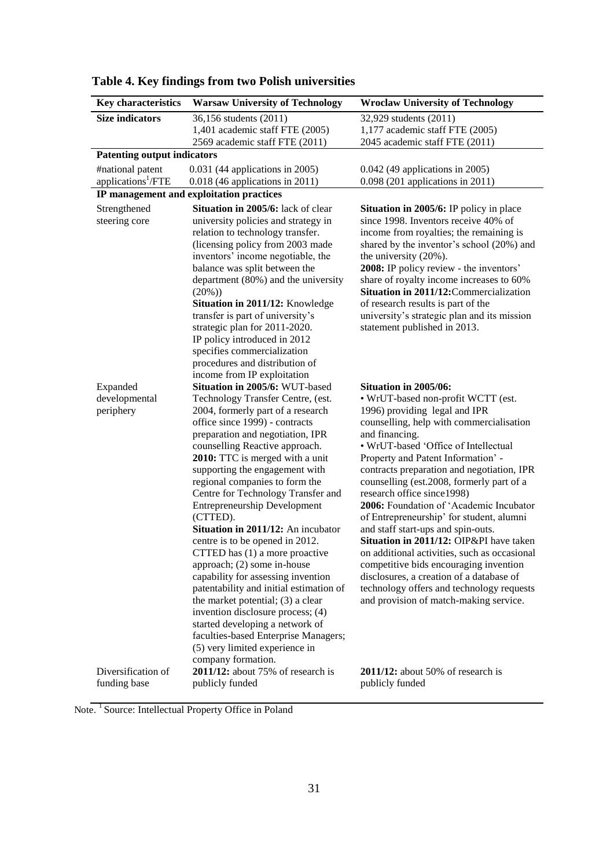| Key characteristics                | <b>Warsaw University of Technology</b>                                       | <b>Wroclaw University of Technology</b>                                             |
|------------------------------------|------------------------------------------------------------------------------|-------------------------------------------------------------------------------------|
| <b>Size indicators</b>             | 36,156 students (2011)                                                       | 32,929 students (2011)                                                              |
|                                    | 1,401 academic staff FTE (2005)                                              | 1,177 academic staff FTE (2005)                                                     |
|                                    | 2569 academic staff FTE (2011)                                               | 2045 academic staff FTE (2011)                                                      |
| <b>Patenting output indicators</b> |                                                                              |                                                                                     |
| #national patent                   | 0.031 (44 applications in 2005)                                              | $0.042$ (49 applications in 2005)                                                   |
| applications <sup>1</sup> /FTE     | 0.018 (46 applications in 2011)                                              | 0.098 (201 applications in 2011)                                                    |
|                                    | IP management and exploitation practices                                     |                                                                                     |
| Strengthened                       | Situation in 2005/6: lack of clear                                           | <b>Situation in 2005/6:</b> IP policy in place                                      |
| steering core                      | university policies and strategy in                                          | since 1998. Inventors receive 40% of                                                |
|                                    | relation to technology transfer.                                             | income from royalties; the remaining is                                             |
|                                    | (licensing policy from 2003 made                                             | shared by the inventor's school (20%) and                                           |
|                                    | inventors' income negotiable, the                                            | the university (20%).                                                               |
|                                    | balance was split between the                                                | 2008: IP policy review - the inventors'                                             |
|                                    | department (80%) and the university                                          | share of royalty income increases to 60%                                            |
|                                    | (20%)<br>Situation in 2011/12: Knowledge                                     | Situation in 2011/12:Commercialization<br>of research results is part of the        |
|                                    | transfer is part of university's                                             | university's strategic plan and its mission                                         |
|                                    | strategic plan for 2011-2020.                                                | statement published in 2013.                                                        |
|                                    | IP policy introduced in 2012                                                 |                                                                                     |
|                                    | specifies commercialization                                                  |                                                                                     |
|                                    | procedures and distribution of                                               |                                                                                     |
|                                    | income from IP exploitation                                                  |                                                                                     |
| Expanded                           | Situation in 2005/6: WUT-based                                               | Situation in 2005/06:                                                               |
| developmental                      | Technology Transfer Centre, (est.                                            | • WrUT-based non-profit WCTT (est.                                                  |
| periphery                          | 2004, formerly part of a research                                            | 1996) providing legal and IPR                                                       |
|                                    | office since 1999) - contracts                                               | counselling, help with commercialisation                                            |
|                                    | preparation and negotiation, IPR                                             | and financing.<br>• WrUT-based 'Office of Intellectual                              |
|                                    | counselling Reactive approach.<br>2010: TTC is merged with a unit            | Property and Patent Information' -                                                  |
|                                    | supporting the engagement with                                               | contracts preparation and negotiation, IPR                                          |
|                                    | regional companies to form the                                               | counselling (est.2008, formerly part of a                                           |
|                                    | Centre for Technology Transfer and                                           | research office since 1998)                                                         |
|                                    | <b>Entrepreneurship Development</b>                                          | 2006: Foundation of 'Academic Incubator                                             |
|                                    | (CTTED).                                                                     | of Entrepreneurship' for student, alumni                                            |
|                                    | Situation in 2011/12: An incubator                                           | and staff start-ups and spin-outs.                                                  |
|                                    | centre is to be opened in 2012.                                              | Situation in 2011/12: OIP&PI have taken                                             |
|                                    | CTTED has (1) a more proactive                                               | on additional activities, such as occasional                                        |
|                                    | approach; (2) some in-house                                                  | competitive bids encouraging invention                                              |
|                                    | capability for assessing invention                                           | disclosures, a creation of a database of                                            |
|                                    | patentability and initial estimation of<br>the market potential; (3) a clear | technology offers and technology requests<br>and provision of match-making service. |
|                                    | invention disclosure process; (4)                                            |                                                                                     |
|                                    | started developing a network of                                              |                                                                                     |
|                                    | faculties-based Enterprise Managers;                                         |                                                                                     |
|                                    | (5) very limited experience in                                               |                                                                                     |
|                                    | company formation.                                                           |                                                                                     |
| Diversification of                 | 2011/12: about 75% of research is                                            | $2011/12$ : about 50% of research is                                                |
| funding base                       | publicly funded                                                              | publicly funded                                                                     |

# **Table 4. Key findings from two Polish universities**

Note.<sup>1</sup> Source: Intellectual Property Office in Poland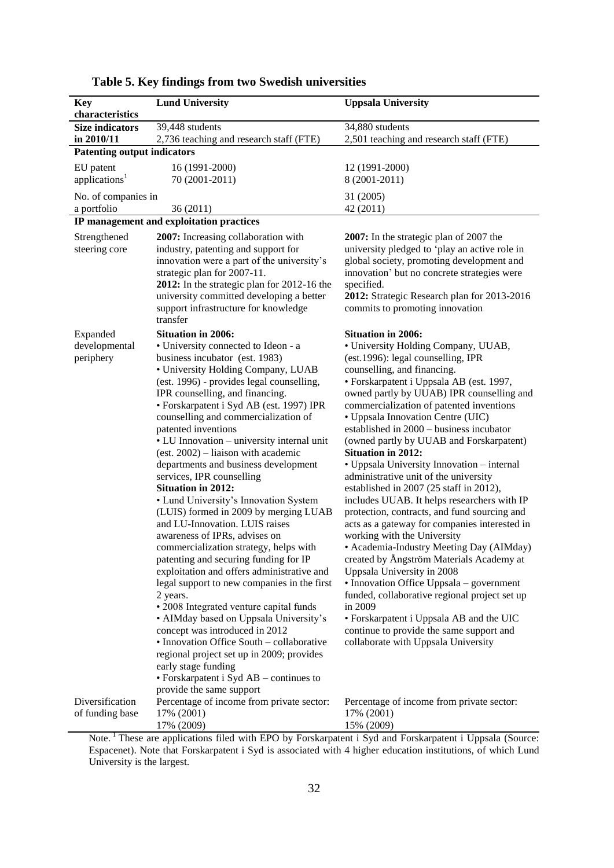| <b>Key</b><br>characteristics      | <b>Lund University</b>                                                          | <b>Uppsala University</b>                                                                   |
|------------------------------------|---------------------------------------------------------------------------------|---------------------------------------------------------------------------------------------|
| <b>Size indicators</b>             | 39,448 students                                                                 | 34,880 students                                                                             |
| in 2010/11                         | 2,736 teaching and research staff (FTE)                                         | 2,501 teaching and research staff (FTE)                                                     |
| <b>Patenting output indicators</b> |                                                                                 |                                                                                             |
| EU patent                          | 16 (1991-2000)                                                                  | 12 (1991-2000)                                                                              |
| applications <sup>1</sup>          | 70 (2001-2011)                                                                  | 8 (2001-2011)                                                                               |
| No. of companies in                |                                                                                 | 31 (2005)                                                                                   |
| a portfolio                        | 36(2011)                                                                        | 42 (2011)                                                                                   |
|                                    | IP management and exploitation practices                                        |                                                                                             |
| Strengthened                       | 2007: Increasing collaboration with                                             | 2007: In the strategic plan of 2007 the                                                     |
| steering core                      | industry, patenting and support for                                             | university pledged to 'play an active role in                                               |
|                                    | innovation were a part of the university's                                      | global society, promoting development and                                                   |
|                                    | strategic plan for 2007-11.                                                     | innovation' but no concrete strategies were                                                 |
|                                    | 2012: In the strategic plan for 2012-16 the                                     | specified.                                                                                  |
|                                    | university committed developing a better                                        | 2012: Strategic Research plan for 2013-2016                                                 |
|                                    | support infrastructure for knowledge                                            | commits to promoting innovation                                                             |
|                                    | transfer                                                                        |                                                                                             |
| Expanded                           | <b>Situation in 2006:</b>                                                       | <b>Situation in 2006:</b>                                                                   |
| developmental                      | • University connected to Ideon - a                                             | • University Holding Company, UUAB,                                                         |
| periphery                          | business incubator (est. 1983)                                                  | (est.1996): legal counselling, IPR                                                          |
|                                    | • University Holding Company, LUAB<br>(est. 1996) - provides legal counselling, | counselling, and financing.                                                                 |
|                                    | IPR counselling, and financing.                                                 | · Forskarpatent i Uppsala AB (est. 1997,<br>owned partly by UUAB) IPR counselling and       |
|                                    | • Forskarpatent i Syd AB (est. 1997) IPR                                        | commercialization of patented inventions                                                    |
|                                    | counselling and commercialization of                                            | • Uppsala Innovation Centre (UIC)                                                           |
|                                    | patented inventions                                                             | established in 2000 - business incubator                                                    |
|                                    | • LU Innovation – university internal unit                                      | (owned partly by UUAB and Forskarpatent)                                                    |
|                                    | $(est. 2002)$ – liaison with academic                                           | <b>Situation in 2012:</b>                                                                   |
|                                    | departments and business development                                            | • Uppsala University Innovation - internal                                                  |
|                                    | services, IPR counselling                                                       | administrative unit of the university                                                       |
|                                    | <b>Situation in 2012:</b>                                                       | established in 2007 (25 staff in 2012),                                                     |
|                                    | • Lund University's Innovation System<br>(LUIS) formed in 2009 by merging LUAB  | includes UUAB. It helps researchers with IP<br>protection, contracts, and fund sourcing and |
|                                    | and LU-Innovation. LUIS raises                                                  | acts as a gateway for companies interested in                                               |
|                                    | awareness of IPRs, advises on                                                   | working with the University                                                                 |
|                                    | commercialization strategy, helps with                                          | • Academia-Industry Meeting Day (AIMday)                                                    |
|                                    | patenting and securing funding for IP                                           | created by Ångström Materials Academy at                                                    |
|                                    | exploitation and offers administrative and                                      | Uppsala University in 2008                                                                  |
|                                    | legal support to new companies in the first                                     | • Innovation Office Uppsala – government                                                    |
|                                    | 2 years.                                                                        | funded, collaborative regional project set up                                               |
|                                    | • 2008 Integrated venture capital funds                                         | in 2009                                                                                     |
|                                    | • AIMday based on Uppsala University's                                          | • Forskarpatent i Uppsala AB and the UIC                                                    |
|                                    | concept was introduced in 2012<br>• Innovation Office South - collaborative     | continue to provide the same support and<br>collaborate with Uppsala University             |
|                                    | regional project set up in 2009; provides                                       |                                                                                             |
|                                    | early stage funding                                                             |                                                                                             |
|                                    | • Forskarpatent i Syd AB – continues to                                         |                                                                                             |
|                                    | provide the same support                                                        |                                                                                             |
| Diversification                    | Percentage of income from private sector:                                       | Percentage of income from private sector:                                                   |
| of funding base                    | 17% (2001)                                                                      | 17% (2001)                                                                                  |
|                                    | 17% (2009)                                                                      | 15% (2009)                                                                                  |

# **Table 5. Key findings from two Swedish universities**

Note.<sup>1</sup> These are applications filed with EPO by Forskarpatent i Syd and Forskarpatent i Uppsala (Source: Espacenet). Note that Forskarpatent i Syd is associated with 4 higher education institutions, of which Lund University is the largest.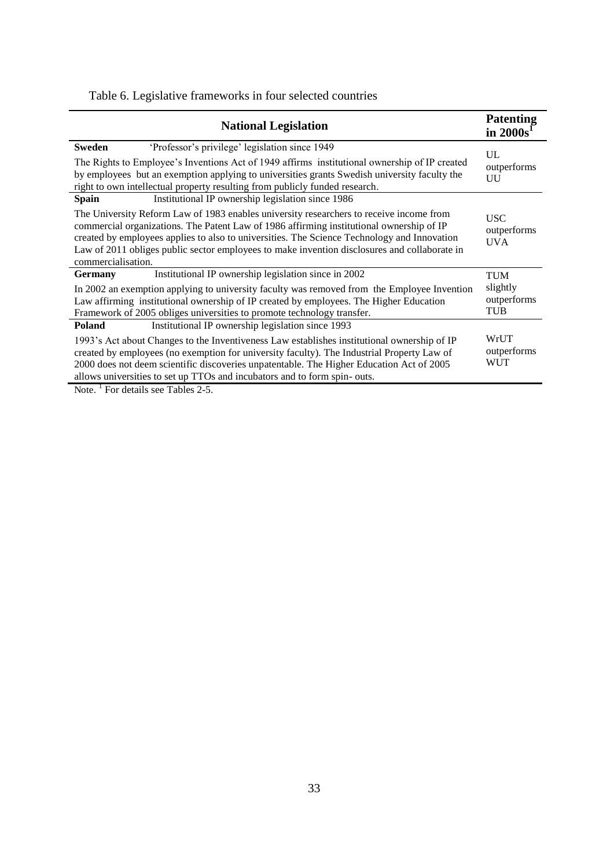Table 6. Legislative frameworks in four selected countries

| <b>National Legislation</b>                                                                                                                                                                                                                                                                                                                                                                              |                                   |
|----------------------------------------------------------------------------------------------------------------------------------------------------------------------------------------------------------------------------------------------------------------------------------------------------------------------------------------------------------------------------------------------------------|-----------------------------------|
| 'Professor's privilege' legislation since 1949<br><b>Sweden</b>                                                                                                                                                                                                                                                                                                                                          | UL                                |
| The Rights to Employee's Inventions Act of 1949 affirms institutional ownership of IP created<br>by employees but an exemption applying to universities grants Swedish university faculty the<br>right to own intellectual property resulting from publicly funded research.                                                                                                                             |                                   |
| Institutional IP ownership legislation since 1986<br><b>Spain</b>                                                                                                                                                                                                                                                                                                                                        |                                   |
| The University Reform Law of 1983 enables university researchers to receive income from<br>commercial organizations. The Patent Law of 1986 affirming institutional ownership of IP<br>created by employees applies to also to universities. The Science Technology and Innovation<br>Law of 2011 obliges public sector employees to make invention disclosures and collaborate in<br>commercialisation. |                                   |
| Institutional IP ownership legislation since in 2002<br><b>Germany</b>                                                                                                                                                                                                                                                                                                                                   | <b>TUM</b>                        |
| In 2002 an exemption applying to university faculty was removed from the Employee Invention<br>Law affirming institutional ownership of IP created by employees. The Higher Education<br>Framework of 2005 obliges universities to promote technology transfer.                                                                                                                                          |                                   |
| Institutional IP ownership legislation since 1993<br>Poland                                                                                                                                                                                                                                                                                                                                              |                                   |
| 1993's Act about Changes to the Inventiveness Law establishes institutional ownership of IP<br>created by employees (no exemption for university faculty). The Industrial Property Law of<br>2000 does not deem scientific discoveries unpatentable. The Higher Education Act of 2005<br>allows universities to set up TTOs and incubators and to form spin-outs.                                        | WrUT<br>outperforms<br><b>WUT</b> |

Note.<sup>1</sup> For details see Tables 2-5.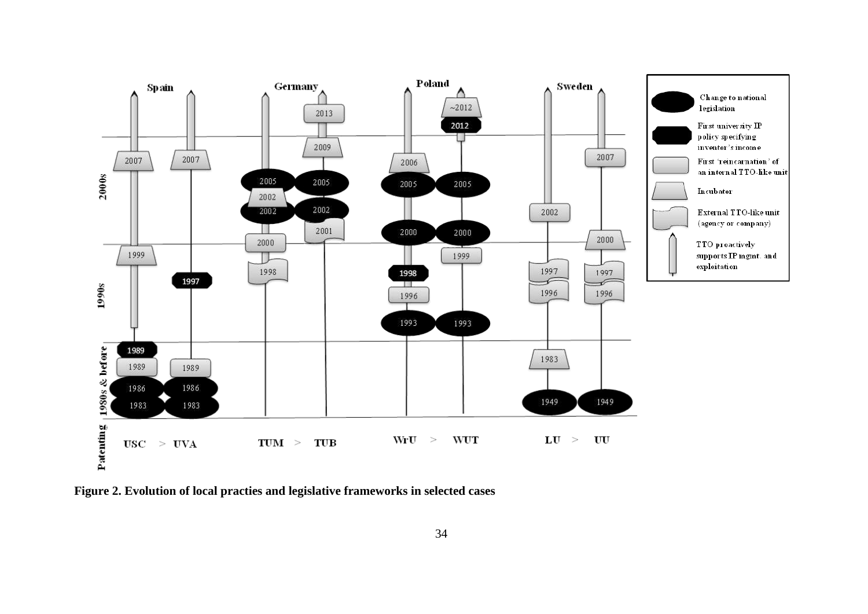

**Figure 2. Evolution of local practies and legislative frameworks in selected cases**